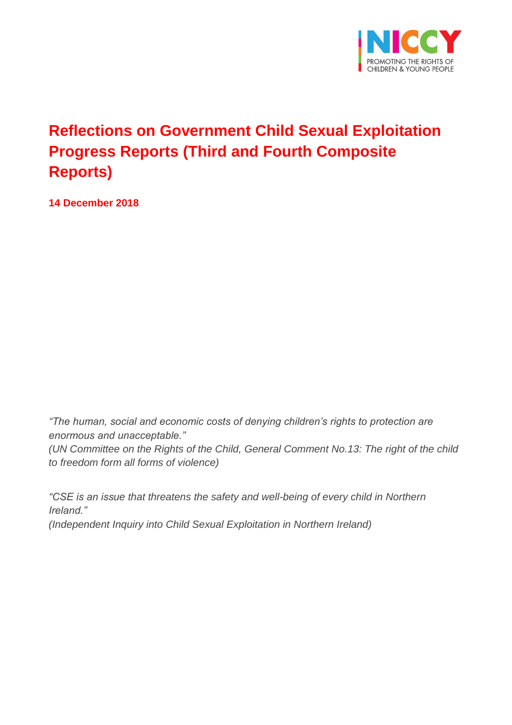

# **Reflections on Government Child Sexual Exploitation Progress Reports (Third and Fourth Composite Reports)**

**14 December 2018**

*"The human, social and economic costs of denying children's rights to protection are enormous and unacceptable."* 

*(UN Committee on the Rights of the Child, General Comment No.13: The right of the child to freedom form all forms of violence)*

*"CSE is an issue that threatens the safety and well-being of every child in Northern Ireland." (Independent Inquiry into Child Sexual Exploitation in Northern Ireland)*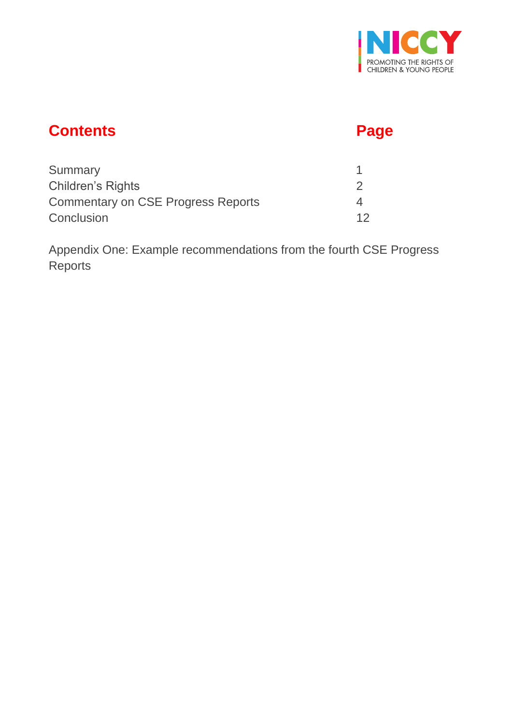

# **Contents Page**

| Summary                                   |  |
|-------------------------------------------|--|
| <b>Children's Rights</b>                  |  |
| <b>Commentary on CSE Progress Reports</b> |  |
| Conclusion                                |  |

Appendix One: Example recommendations from the fourth CSE Progress Reports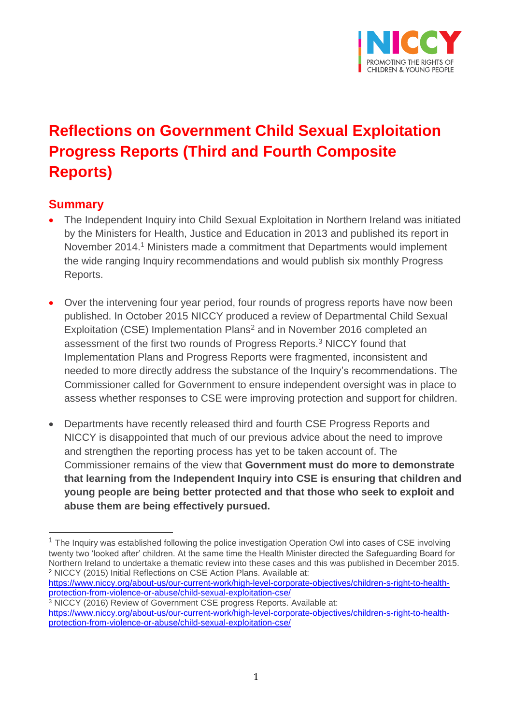

# **Reflections on Government Child Sexual Exploitation Progress Reports (Third and Fourth Composite Reports)**

### **Summary**

- The Independent Inquiry into Child Sexual Exploitation in Northern Ireland was initiated by the Ministers for Health, Justice and Education in 2013 and published its report in November 2014.<sup>1</sup> Ministers made a commitment that Departments would implement the wide ranging Inquiry recommendations and would publish six monthly Progress Reports.
- Over the intervening four year period, four rounds of progress reports have now been published. In October 2015 NICCY produced a review of Departmental Child Sexual Exploitation (CSE) Implementation Plans<sup>2</sup> and in November 2016 completed an assessment of the first two rounds of Progress Reports.<sup>3</sup> NICCY found that Implementation Plans and Progress Reports were fragmented, inconsistent and needed to more directly address the substance of the Inquiry's recommendations. The Commissioner called for Government to ensure independent oversight was in place to assess whether responses to CSE were improving protection and support for children.
- Departments have recently released third and fourth CSE Progress Reports and NICCY is disappointed that much of our previous advice about the need to improve and strengthen the reporting process has yet to be taken account of. The Commissioner remains of the view that **Government must do more to demonstrate that learning from the Independent Inquiry into CSE is ensuring that children and young people are being better protected and that those who seek to exploit and abuse them are being effectively pursued.**

<sup>&</sup>lt;sup>1</sup> The Inquiry was established following the police investigation Operation Owl into cases of CSE involving twenty two 'looked after' children. At the same time the Health Minister directed the Safeguarding Board for Northern Ireland to undertake a thematic review into these cases and this was published in December 2015. <sup>2</sup> NICCY (2015) Initial Reflections on CSE Action Plans. Available at:

[https://www.niccy.org/about-us/our-current-work/high-level-corporate-objectives/children-s-right-to-health](https://www.niccy.org/about-us/our-current-work/high-level-corporate-objectives/children-s-right-to-health-protection-from-violence-or-abuse/child-sexual-exploitation-cse/)[protection-from-violence-or-abuse/child-sexual-exploitation-cse/](https://www.niccy.org/about-us/our-current-work/high-level-corporate-objectives/children-s-right-to-health-protection-from-violence-or-abuse/child-sexual-exploitation-cse/)

<sup>3</sup> NICCY (2016) Review of Government CSE progress Reports. Available at: [https://www.niccy.org/about-us/our-current-work/high-level-corporate-objectives/children-s-right-to-health](https://www.niccy.org/about-us/our-current-work/high-level-corporate-objectives/children-s-right-to-health-protection-from-violence-or-abuse/child-sexual-exploitation-cse/)[protection-from-violence-or-abuse/child-sexual-exploitation-cse/](https://www.niccy.org/about-us/our-current-work/high-level-corporate-objectives/children-s-right-to-health-protection-from-violence-or-abuse/child-sexual-exploitation-cse/)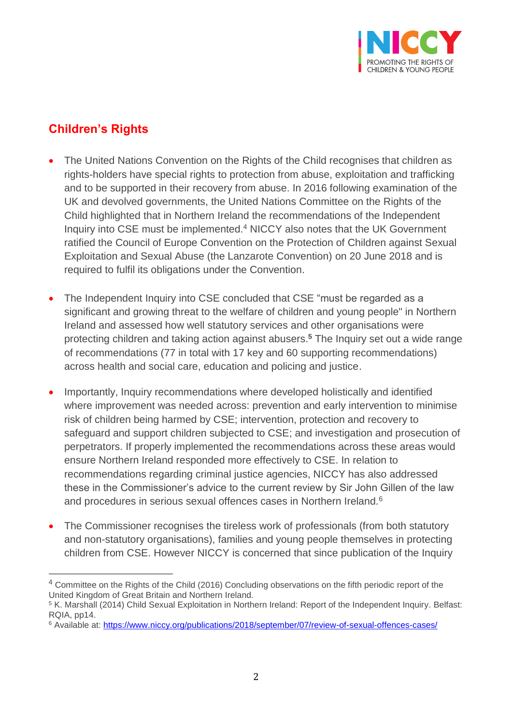

## **Children's Rights**

- The United Nations Convention on the Rights of the Child recognises that children as rights-holders have special rights to protection from abuse, exploitation and trafficking and to be supported in their recovery from abuse. In 2016 following examination of the UK and devolved governments, the United Nations Committee on the Rights of the Child highlighted that in Northern Ireland the recommendations of the Independent Inquiry into CSE must be implemented.<sup>4</sup> NICCY also notes that the UK Government ratified the Council of Europe Convention on the Protection of Children against Sexual Exploitation and Sexual Abuse (the Lanzarote Convention) on 20 June 2018 and is required to fulfil its obligations under the Convention.
- The Independent Inquiry into CSE concluded that CSE "must be regarded as a significant and growing threat to the welfare of children and young people" in Northern Ireland and assessed how well statutory services and other organisations were protecting children and taking action against abusers.**<sup>5</sup>** The Inquiry set out a wide range of recommendations (77 in total with 17 key and 60 supporting recommendations) across health and social care, education and policing and justice.
- Importantly, Inquiry recommendations where developed holistically and identified where improvement was needed across: prevention and early intervention to minimise risk of children being harmed by CSE; intervention, protection and recovery to safeguard and support children subjected to CSE; and investigation and prosecution of perpetrators. If properly implemented the recommendations across these areas would ensure Northern Ireland responded more effectively to CSE. In relation to recommendations regarding criminal justice agencies, NICCY has also addressed these in the Commissioner's advice to the current review by Sir John Gillen of the law and procedures in serious sexual offences cases in Northern Ireland.<sup>6</sup>
- The Commissioner recognises the tireless work of professionals (from both statutory and non-statutory organisations), families and young people themselves in protecting children from CSE. However NICCY is concerned that since publication of the Inquiry

<sup>&</sup>lt;sup>4</sup> Committee on the Rights of the Child (2016) Concluding observations on the fifth periodic report of the United Kingdom of Great Britain and Northern Ireland.

<sup>5</sup> K. Marshall (2014) Child Sexual Exploitation in Northern Ireland: Report of the Independent Inquiry. Belfast: RQIA, pp14.

<sup>6</sup> Available at: <https://www.niccy.org/publications/2018/september/07/review-of-sexual-offences-cases/>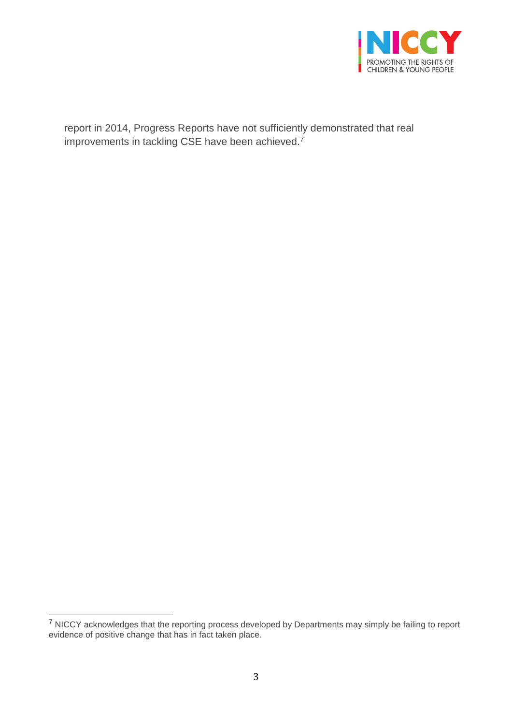

report in 2014, Progress Reports have not sufficiently demonstrated that real improvements in tackling CSE have been achieved.<sup>7</sup>

 $7$  NICCY acknowledges that the reporting process developed by Departments may simply be failing to report evidence of positive change that has in fact taken place.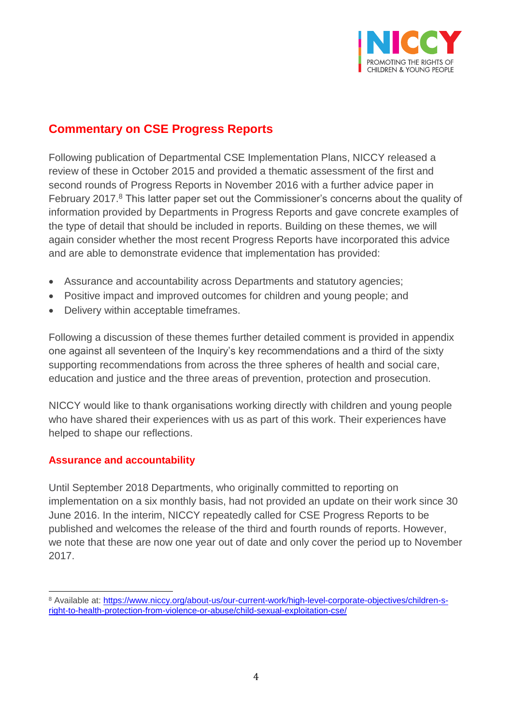

## **Commentary on CSE Progress Reports**

Following publication of Departmental CSE Implementation Plans, NICCY released a review of these in October 2015 and provided a thematic assessment of the first and second rounds of Progress Reports in November 2016 with a further advice paper in February 2017.<sup>8</sup> This latter paper set out the Commissioner's concerns about the quality of information provided by Departments in Progress Reports and gave concrete examples of the type of detail that should be included in reports. Building on these themes, we will again consider whether the most recent Progress Reports have incorporated this advice and are able to demonstrate evidence that implementation has provided:

- Assurance and accountability across Departments and statutory agencies;
- Positive impact and improved outcomes for children and young people; and
- Delivery within acceptable timeframes.

Following a discussion of these themes further detailed comment is provided in appendix one against all seventeen of the Inquiry's key recommendations and a third of the sixty supporting recommendations from across the three spheres of health and social care, education and justice and the three areas of prevention, protection and prosecution.

NICCY would like to thank organisations working directly with children and young people who have shared their experiences with us as part of this work. Their experiences have helped to shape our reflections.

#### **Assurance and accountability**

 $\overline{a}$ 

Until September 2018 Departments, who originally committed to reporting on implementation on a six monthly basis, had not provided an update on their work since 30 June 2016. In the interim, NICCY repeatedly called for CSE Progress Reports to be published and welcomes the release of the third and fourth rounds of reports. However, we note that these are now one year out of date and only cover the period up to November 2017.

<sup>8</sup> Available at: [https://www.niccy.org/about-us/our-current-work/high-level-corporate-objectives/children-s](https://www.niccy.org/about-us/our-current-work/high-level-corporate-objectives/children-s-right-to-health-protection-from-violence-or-abuse/child-sexual-exploitation-cse/)[right-to-health-protection-from-violence-or-abuse/child-sexual-exploitation-cse/](https://www.niccy.org/about-us/our-current-work/high-level-corporate-objectives/children-s-right-to-health-protection-from-violence-or-abuse/child-sexual-exploitation-cse/)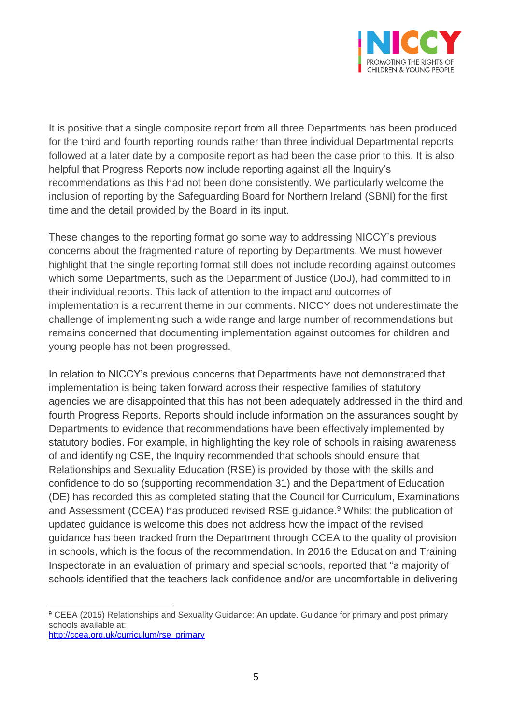

It is positive that a single composite report from all three Departments has been produced for the third and fourth reporting rounds rather than three individual Departmental reports followed at a later date by a composite report as had been the case prior to this. It is also helpful that Progress Reports now include reporting against all the Inquiry's recommendations as this had not been done consistently. We particularly welcome the inclusion of reporting by the Safeguarding Board for Northern Ireland (SBNI) for the first time and the detail provided by the Board in its input.

These changes to the reporting format go some way to addressing NICCY's previous concerns about the fragmented nature of reporting by Departments. We must however highlight that the single reporting format still does not include recording against outcomes which some Departments, such as the Department of Justice (DoJ), had committed to in their individual reports. This lack of attention to the impact and outcomes of implementation is a recurrent theme in our comments. NICCY does not underestimate the challenge of implementing such a wide range and large number of recommendations but remains concerned that documenting implementation against outcomes for children and young people has not been progressed.

In relation to NICCY's previous concerns that Departments have not demonstrated that implementation is being taken forward across their respective families of statutory agencies we are disappointed that this has not been adequately addressed in the third and fourth Progress Reports. Reports should include information on the assurances sought by Departments to evidence that recommendations have been effectively implemented by statutory bodies. For example, in highlighting the key role of schools in raising awareness of and identifying CSE, the Inquiry recommended that schools should ensure that Relationships and Sexuality Education (RSE) is provided by those with the skills and confidence to do so (supporting recommendation 31) and the Department of Education (DE) has recorded this as completed stating that the Council for Curriculum, Examinations and Assessment (CCEA) has produced revised RSE guidance.<sup>9</sup> Whilst the publication of updated guidance is welcome this does not address how the impact of the revised guidance has been tracked from the Department through CCEA to the quality of provision in schools, which is the focus of the recommendation. In 2016 the Education and Training Inspectorate in an evaluation of primary and special schools, reported that "a majority of schools identified that the teachers lack confidence and/or are uncomfortable in delivering

 $\overline{a}$ <sup>9</sup> CEEA (2015) Relationships and Sexuality Guidance: An update. Guidance for primary and post primary schools available at:

[http://ccea.org.uk/curriculum/rse\\_primary](http://ccea.org.uk/curriculum/rse_primary)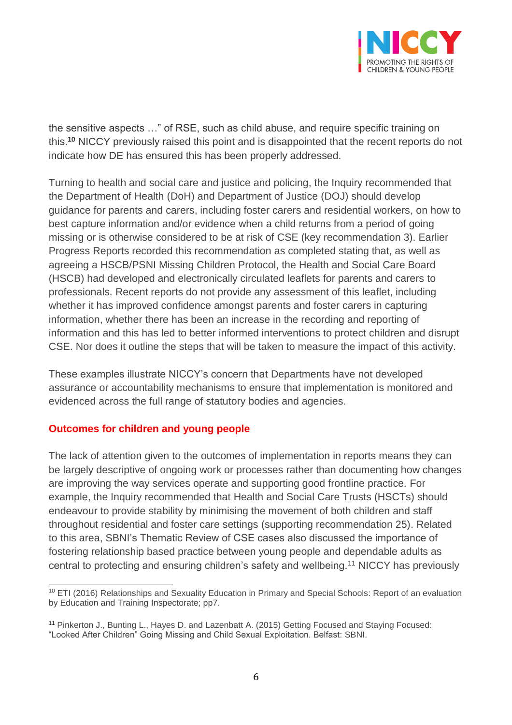

the sensitive aspects …" of RSE, such as child abuse, and require specific training on this.**<sup>10</sup>** NICCY previously raised this point and is disappointed that the recent reports do not indicate how DE has ensured this has been properly addressed.

Turning to health and social care and justice and policing, the Inquiry recommended that the Department of Health (DoH) and Department of Justice (DOJ) should develop guidance for parents and carers, including foster carers and residential workers, on how to best capture information and/or evidence when a child returns from a period of going missing or is otherwise considered to be at risk of CSE (key recommendation 3). Earlier Progress Reports recorded this recommendation as completed stating that, as well as agreeing a HSCB/PSNI Missing Children Protocol, the Health and Social Care Board (HSCB) had developed and electronically circulated leaflets for parents and carers to professionals. Recent reports do not provide any assessment of this leaflet, including whether it has improved confidence amongst parents and foster carers in capturing information, whether there has been an increase in the recording and reporting of information and this has led to better informed interventions to protect children and disrupt CSE. Nor does it outline the steps that will be taken to measure the impact of this activity.

These examples illustrate NICCY's concern that Departments have not developed assurance or accountability mechanisms to ensure that implementation is monitored and evidenced across the full range of statutory bodies and agencies.

#### **Outcomes for children and young people**

The lack of attention given to the outcomes of implementation in reports means they can be largely descriptive of ongoing work or processes rather than documenting how changes are improving the way services operate and supporting good frontline practice. For example, the Inquiry recommended that Health and Social Care Trusts (HSCTs) should endeavour to provide stability by minimising the movement of both children and staff throughout residential and foster care settings (supporting recommendation 25). Related to this area, SBNI's Thematic Review of CSE cases also discussed the importance of fostering relationship based practice between young people and dependable adults as central to protecting and ensuring children's safety and wellbeing.<sup>11</sup> NICCY has previously

 $\overline{a}$ <sup>10</sup> ETI (2016) Relationships and Sexuality Education in Primary and Special Schools: Report of an evaluation by Education and Training Inspectorate; pp7.

<sup>11</sup> Pinkerton J., Bunting L., Hayes D. and Lazenbatt A. (2015) Getting Focused and Staying Focused: "Looked After Children" Going Missing and Child Sexual Exploitation. Belfast: SBNI.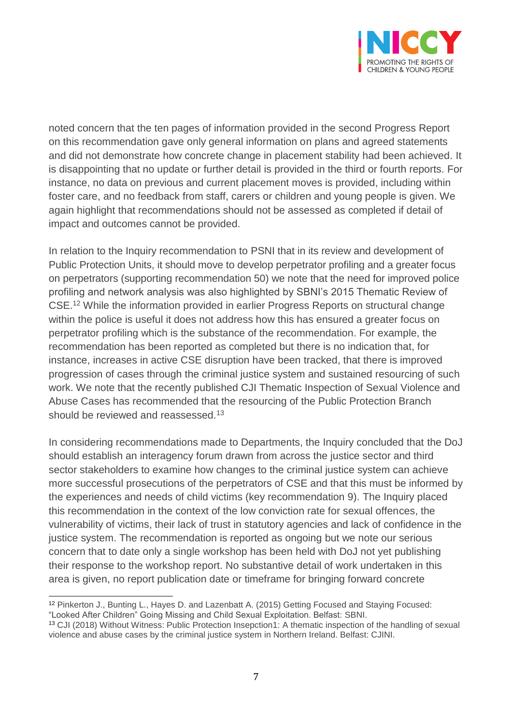

noted concern that the ten pages of information provided in the second Progress Report on this recommendation gave only general information on plans and agreed statements and did not demonstrate how concrete change in placement stability had been achieved. It is disappointing that no update or further detail is provided in the third or fourth reports. For instance, no data on previous and current placement moves is provided, including within foster care, and no feedback from staff, carers or children and young people is given. We again highlight that recommendations should not be assessed as completed if detail of impact and outcomes cannot be provided.

In relation to the Inquiry recommendation to PSNI that in its review and development of Public Protection Units, it should move to develop perpetrator profiling and a greater focus on perpetrators (supporting recommendation 50) we note that the need for improved police profiling and network analysis was also highlighted by SBNI's 2015 Thematic Review of CSE.<sup>12</sup> While the information provided in earlier Progress Reports on structural change within the police is useful it does not address how this has ensured a greater focus on perpetrator profiling which is the substance of the recommendation. For example, the recommendation has been reported as completed but there is no indication that, for instance, increases in active CSE disruption have been tracked, that there is improved progression of cases through the criminal justice system and sustained resourcing of such work. We note that the recently published CJI Thematic Inspection of Sexual Violence and Abuse Cases has recommended that the resourcing of the Public Protection Branch should be reviewed and reassessed.<sup>13</sup>

In considering recommendations made to Departments, the Inquiry concluded that the DoJ should establish an interagency forum drawn from across the justice sector and third sector stakeholders to examine how changes to the criminal justice system can achieve more successful prosecutions of the perpetrators of CSE and that this must be informed by the experiences and needs of child victims (key recommendation 9). The Inquiry placed this recommendation in the context of the low conviction rate for sexual offences, the vulnerability of victims, their lack of trust in statutory agencies and lack of confidence in the justice system. The recommendation is reported as ongoing but we note our serious concern that to date only a single workshop has been held with DoJ not yet publishing their response to the workshop report. No substantive detail of work undertaken in this area is given, no report publication date or timeframe for bringing forward concrete

<sup>12</sup> Pinkerton J., Bunting L., Hayes D. and Lazenbatt A. (2015) Getting Focused and Staying Focused:

<sup>&</sup>quot;Looked After Children" Going Missing and Child Sexual Exploitation. Belfast: SBNI.

<sup>13</sup> CJI (2018) Without Witness: Public Protection Insepction1: A thematic inspection of the handling of sexual violence and abuse cases by the criminal justice system in Northern Ireland. Belfast: CJINI.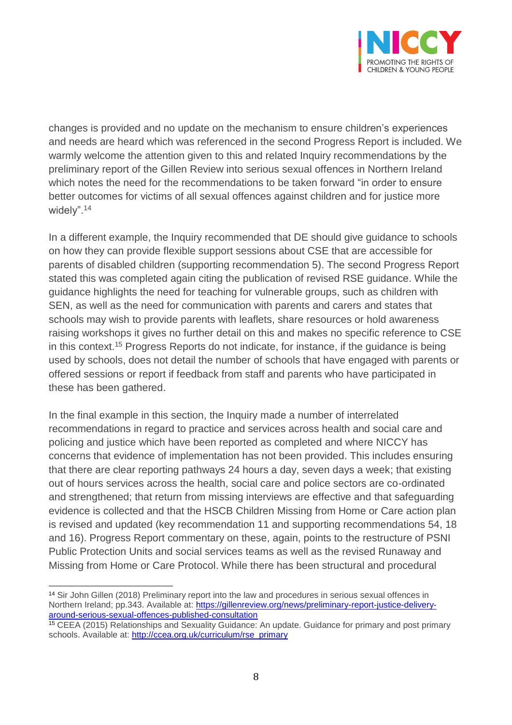

changes is provided and no update on the mechanism to ensure children's experiences and needs are heard which was referenced in the second Progress Report is included. We warmly welcome the attention given to this and related Inquiry recommendations by the preliminary report of the Gillen Review into serious sexual offences in Northern Ireland which notes the need for the recommendations to be taken forward "in order to ensure better outcomes for victims of all sexual offences against children and for justice more widely".<sup>14</sup>

In a different example, the Inquiry recommended that DE should give guidance to schools on how they can provide flexible support sessions about CSE that are accessible for parents of disabled children (supporting recommendation 5). The second Progress Report stated this was completed again citing the publication of revised RSE guidance. While the guidance highlights the need for teaching for vulnerable groups, such as children with SEN, as well as the need for communication with parents and carers and states that schools may wish to provide parents with leaflets, share resources or hold awareness raising workshops it gives no further detail on this and makes no specific reference to CSE in this context.<sup>15</sup> Progress Reports do not indicate, for instance, if the guidance is being used by schools, does not detail the number of schools that have engaged with parents or offered sessions or report if feedback from staff and parents who have participated in these has been gathered.

In the final example in this section, the Inquiry made a number of interrelated recommendations in regard to practice and services across health and social care and policing and justice which have been reported as completed and where NICCY has concerns that evidence of implementation has not been provided. This includes ensuring that there are clear reporting pathways 24 hours a day, seven days a week; that existing out of hours services across the health, social care and police sectors are co-ordinated and strengthened; that return from missing interviews are effective and that safeguarding evidence is collected and that the HSCB Children Missing from Home or Care action plan is revised and updated (key recommendation 11 and supporting recommendations 54, 18 and 16). Progress Report commentary on these, again, points to the restructure of PSNI Public Protection Units and social services teams as well as the revised Runaway and Missing from Home or Care Protocol. While there has been structural and procedural

 $\overline{a}$ <sup>14</sup> Sir John Gillen (2018) Preliminary report into the law and procedures in serious sexual offences in Northern Ireland; pp.343. Available at: [https://gillenreview.org/news/preliminary-report-justice-delivery](https://gillenreview.org/news/preliminary-report-justice-delivery-around-serious-sexual-offences-published-consultation)[around-serious-sexual-offences-published-consultation](https://gillenreview.org/news/preliminary-report-justice-delivery-around-serious-sexual-offences-published-consultation)

<sup>15</sup> CEEA (2015) Relationships and Sexuality Guidance: An update. Guidance for primary and post primary schools. Available at: [http://ccea.org.uk/curriculum/rse\\_primary](http://ccea.org.uk/curriculum/rse_primary)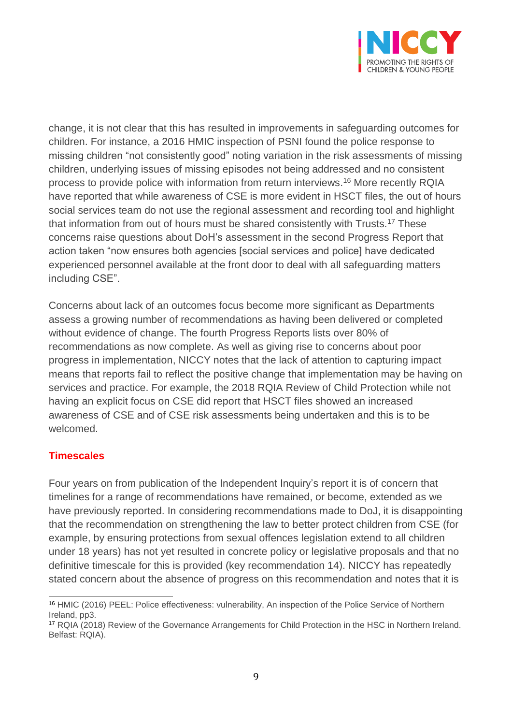

change, it is not clear that this has resulted in improvements in safeguarding outcomes for children. For instance, a 2016 HMIC inspection of PSNI found the police response to missing children "not consistently good" noting variation in the risk assessments of missing children, underlying issues of missing episodes not being addressed and no consistent process to provide police with information from return interviews. <sup>16</sup> More recently RQIA have reported that while awareness of CSE is more evident in HSCT files, the out of hours social services team do not use the regional assessment and recording tool and highlight that information from out of hours must be shared consistently with Trusts.<sup>17</sup> These concerns raise questions about DoH's assessment in the second Progress Report that action taken "now ensures both agencies [social services and police] have dedicated experienced personnel available at the front door to deal with all safeguarding matters including CSE".

Concerns about lack of an outcomes focus become more significant as Departments assess a growing number of recommendations as having been delivered or completed without evidence of change. The fourth Progress Reports lists over 80% of recommendations as now complete. As well as giving rise to concerns about poor progress in implementation, NICCY notes that the lack of attention to capturing impact means that reports fail to reflect the positive change that implementation may be having on services and practice. For example, the 2018 RQIA Review of Child Protection while not having an explicit focus on CSE did report that HSCT files showed an increased awareness of CSE and of CSE risk assessments being undertaken and this is to be welcomed.

#### **Timescales**

Four years on from publication of the Independent Inquiry's report it is of concern that timelines for a range of recommendations have remained, or become, extended as we have previously reported. In considering recommendations made to DoJ, it is disappointing that the recommendation on strengthening the law to better protect children from CSE (for example, by ensuring protections from sexual offences legislation extend to all children under 18 years) has not yet resulted in concrete policy or legislative proposals and that no definitive timescale for this is provided (key recommendation 14). NICCY has repeatedly stated concern about the absence of progress on this recommendation and notes that it is

 $\overline{a}$ <sup>16</sup> HMIC (2016) PEEL: Police effectiveness: vulnerability, An inspection of the Police Service of Northern Ireland, pp3.

<sup>17</sup> RQIA (2018) Review of the Governance Arrangements for Child Protection in the HSC in Northern Ireland. Belfast: RQIA).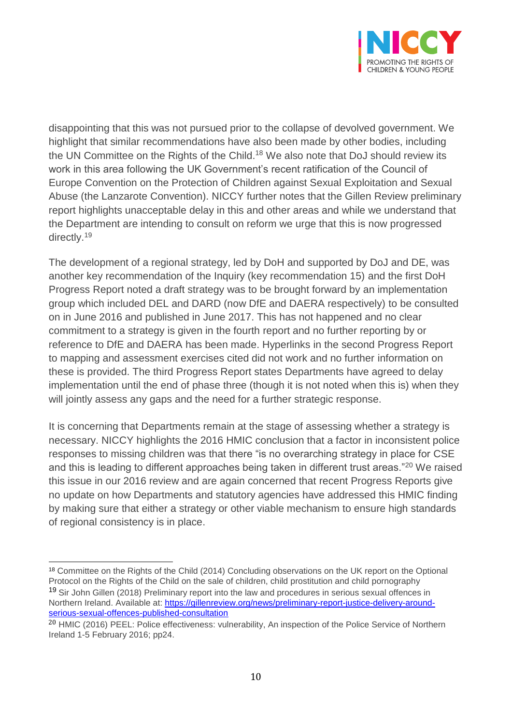

disappointing that this was not pursued prior to the collapse of devolved government. We highlight that similar recommendations have also been made by other bodies, including the UN Committee on the Rights of the Child.<sup>18</sup> We also note that DoJ should review its work in this area following the UK Government's recent ratification of the Council of Europe Convention on the Protection of Children against Sexual Exploitation and Sexual Abuse (the Lanzarote Convention). NICCY further notes that the Gillen Review preliminary report highlights unacceptable delay in this and other areas and while we understand that the Department are intending to consult on reform we urge that this is now progressed directly. 19

The development of a regional strategy, led by DoH and supported by DoJ and DE, was another key recommendation of the Inquiry (key recommendation 15) and the first DoH Progress Report noted a draft strategy was to be brought forward by an implementation group which included DEL and DARD (now DfE and DAERA respectively) to be consulted on in June 2016 and published in June 2017. This has not happened and no clear commitment to a strategy is given in the fourth report and no further reporting by or reference to DfE and DAERA has been made. Hyperlinks in the second Progress Report to mapping and assessment exercises cited did not work and no further information on these is provided. The third Progress Report states Departments have agreed to delay implementation until the end of phase three (though it is not noted when this is) when they will jointly assess any gaps and the need for a further strategic response.

It is concerning that Departments remain at the stage of assessing whether a strategy is necessary. NICCY highlights the 2016 HMIC conclusion that a factor in inconsistent police responses to missing children was that there "is no overarching strategy in place for CSE and this is leading to different approaches being taken in different trust areas."<sup>20</sup> We raised this issue in our 2016 review and are again concerned that recent Progress Reports give no update on how Departments and statutory agencies have addressed this HMIC finding by making sure that either a strategy or other viable mechanism to ensure high standards of regional consistency is in place.

 $\overline{a}$ <sup>18</sup> Committee on the Rights of the Child (2014) Concluding observations on the UK report on the Optional Protocol on the Rights of the Child on the sale of children, child prostitution and child pornography <sup>19</sup> Sir John Gillen (2018) Preliminary report into the law and procedures in serious sexual offences in Northern Ireland. Available at: [https://gillenreview.org/news/preliminary-report-justice-delivery-around](https://gillenreview.org/news/preliminary-report-justice-delivery-around-serious-sexual-offences-published-consultation)[serious-sexual-offences-published-consultation](https://gillenreview.org/news/preliminary-report-justice-delivery-around-serious-sexual-offences-published-consultation)

<sup>20</sup> HMIC (2016) PEEL: Police effectiveness: vulnerability, An inspection of the Police Service of Northern Ireland 1-5 February 2016; pp24.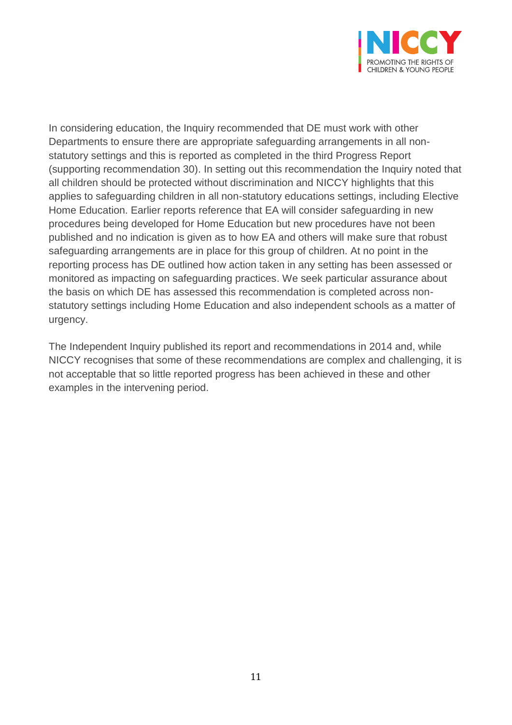

In considering education, the Inquiry recommended that DE must work with other Departments to ensure there are appropriate safeguarding arrangements in all nonstatutory settings and this is reported as completed in the third Progress Report (supporting recommendation 30). In setting out this recommendation the Inquiry noted that all children should be protected without discrimination and NICCY highlights that this applies to safeguarding children in all non-statutory educations settings, including Elective Home Education. Earlier reports reference that EA will consider safeguarding in new procedures being developed for Home Education but new procedures have not been published and no indication is given as to how EA and others will make sure that robust safeguarding arrangements are in place for this group of children. At no point in the reporting process has DE outlined how action taken in any setting has been assessed or monitored as impacting on safeguarding practices. We seek particular assurance about the basis on which DE has assessed this recommendation is completed across nonstatutory settings including Home Education and also independent schools as a matter of urgency.

The Independent Inquiry published its report and recommendations in 2014 and, while NICCY recognises that some of these recommendations are complex and challenging, it is not acceptable that so little reported progress has been achieved in these and other examples in the intervening period.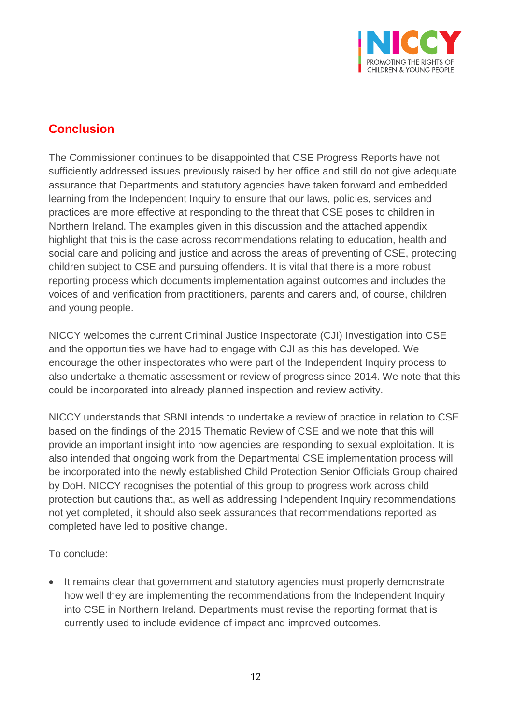

## **Conclusion**

The Commissioner continues to be disappointed that CSE Progress Reports have not sufficiently addressed issues previously raised by her office and still do not give adequate assurance that Departments and statutory agencies have taken forward and embedded learning from the Independent Inquiry to ensure that our laws, policies, services and practices are more effective at responding to the threat that CSE poses to children in Northern Ireland. The examples given in this discussion and the attached appendix highlight that this is the case across recommendations relating to education, health and social care and policing and justice and across the areas of preventing of CSE, protecting children subject to CSE and pursuing offenders. It is vital that there is a more robust reporting process which documents implementation against outcomes and includes the voices of and verification from practitioners, parents and carers and, of course, children and young people.

NICCY welcomes the current Criminal Justice Inspectorate (CJI) Investigation into CSE and the opportunities we have had to engage with CJI as this has developed. We encourage the other inspectorates who were part of the Independent Inquiry process to also undertake a thematic assessment or review of progress since 2014. We note that this could be incorporated into already planned inspection and review activity.

NICCY understands that SBNI intends to undertake a review of practice in relation to CSE based on the findings of the 2015 Thematic Review of CSE and we note that this will provide an important insight into how agencies are responding to sexual exploitation. It is also intended that ongoing work from the Departmental CSE implementation process will be incorporated into the newly established Child Protection Senior Officials Group chaired by DoH. NICCY recognises the potential of this group to progress work across child protection but cautions that, as well as addressing Independent Inquiry recommendations not yet completed, it should also seek assurances that recommendations reported as completed have led to positive change.

To conclude:

• It remains clear that government and statutory agencies must properly demonstrate how well they are implementing the recommendations from the Independent Inquiry into CSE in Northern Ireland. Departments must revise the reporting format that is currently used to include evidence of impact and improved outcomes.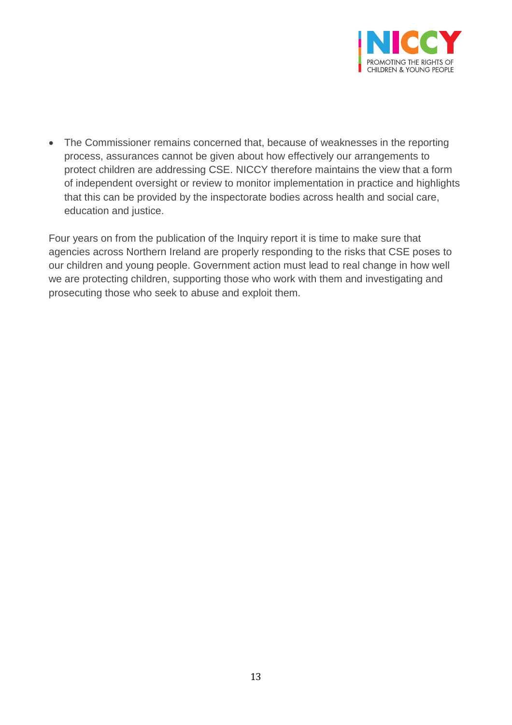

• The Commissioner remains concerned that, because of weaknesses in the reporting process, assurances cannot be given about how effectively our arrangements to protect children are addressing CSE. NICCY therefore maintains the view that a form of independent oversight or review to monitor implementation in practice and highlights that this can be provided by the inspectorate bodies across health and social care, education and justice.

Four years on from the publication of the Inquiry report it is time to make sure that agencies across Northern Ireland are properly responding to the risks that CSE poses to our children and young people. Government action must lead to real change in how well we are protecting children, supporting those who work with them and investigating and prosecuting those who seek to abuse and exploit them.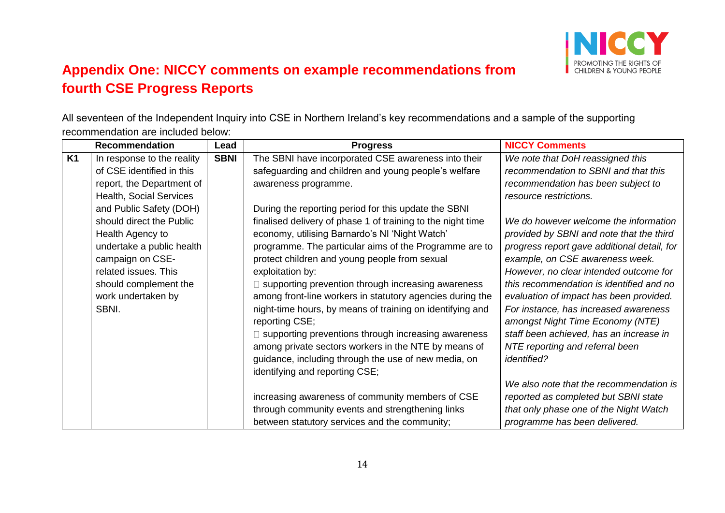

## **Appendix One: NICCY comments on example recommendations from fourth CSE Progress Reports**

All seventeen of the Independent Inquiry into CSE in Northern Ireland's key recommendations and a sample of the supporting recommendation are included below:

|           | <b>Recommendation</b>      | Lead        | <b>Progress</b>                                             | <b>NICCY Comments</b>                       |
|-----------|----------------------------|-------------|-------------------------------------------------------------|---------------------------------------------|
| <b>K1</b> | In response to the reality | <b>SBNI</b> | The SBNI have incorporated CSE awareness into their         | We note that DoH reassigned this            |
|           | of CSE identified in this  |             | safeguarding and children and young people's welfare        | recommendation to SBNI and that this        |
|           | report, the Department of  |             | awareness programme.                                        | recommendation has been subject to          |
|           | Health, Social Services    |             |                                                             | resource restrictions.                      |
|           | and Public Safety (DOH)    |             | During the reporting period for this update the SBNI        |                                             |
|           | should direct the Public   |             | finalised delivery of phase 1 of training to the night time | We do however welcome the information       |
|           | Health Agency to           |             | economy, utilising Barnardo's NI 'Night Watch'              | provided by SBNI and note that the third    |
|           | undertake a public health  |             | programme. The particular aims of the Programme are to      | progress report gave additional detail, for |
|           | campaign on CSE-           |             | protect children and young people from sexual               | example, on CSE awareness week.             |
|           | related issues. This       |             | exploitation by:                                            | However, no clear intended outcome for      |
|           | should complement the      |             | □ supporting prevention through increasing awareness        | this recommendation is identified and no    |
|           | work undertaken by         |             | among front-line workers in statutory agencies during the   | evaluation of impact has been provided.     |
|           | SBNI.                      |             | night-time hours, by means of training on identifying and   | For instance, has increased awareness       |
|           |                            |             | reporting CSE;                                              | amongst Night Time Economy (NTE)            |
|           |                            |             | supporting preventions through increasing awareness         | staff been achieved, has an increase in     |
|           |                            |             | among private sectors workers in the NTE by means of        | NTE reporting and referral been             |
|           |                            |             | guidance, including through the use of new media, on        | <i>identified?</i>                          |
|           |                            |             | identifying and reporting CSE;                              |                                             |
|           |                            |             |                                                             | We also note that the recommendation is     |
|           |                            |             | increasing awareness of community members of CSE            | reported as completed but SBNI state        |
|           |                            |             | through community events and strengthening links            | that only phase one of the Night Watch      |
|           |                            |             | between statutory services and the community;               | programme has been delivered.               |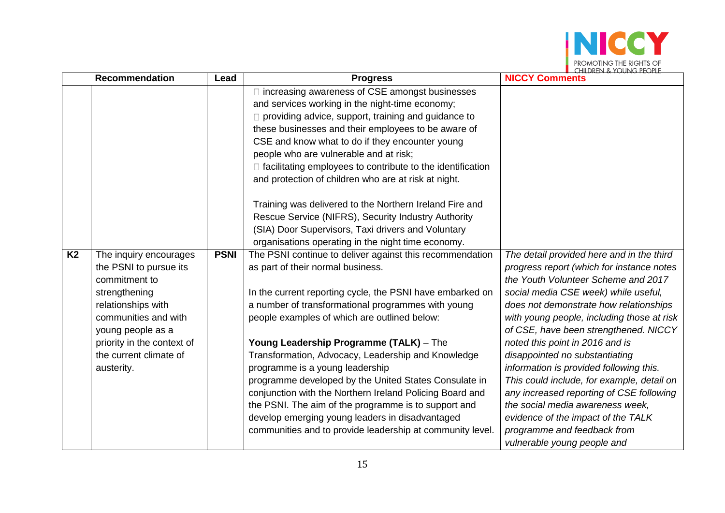

|           | <b>Recommendation</b>                                                                                                                                                                                         | Lead        | <b>Progress</b>                                                                                                                                                                                                                                                                                                                                                                                                                                    | L CHILDREN & YOUNG PEOPLE<br><b>NICCY Comments</b>                                                                                                                                                                                                                                                                                                                          |
|-----------|---------------------------------------------------------------------------------------------------------------------------------------------------------------------------------------------------------------|-------------|----------------------------------------------------------------------------------------------------------------------------------------------------------------------------------------------------------------------------------------------------------------------------------------------------------------------------------------------------------------------------------------------------------------------------------------------------|-----------------------------------------------------------------------------------------------------------------------------------------------------------------------------------------------------------------------------------------------------------------------------------------------------------------------------------------------------------------------------|
|           |                                                                                                                                                                                                               |             | $\Box$ increasing awareness of CSE amongst businesses<br>and services working in the night-time economy;<br>□ providing advice, support, training and guidance to<br>these businesses and their employees to be aware of<br>CSE and know what to do if they encounter young<br>people who are vulnerable and at risk;<br>$\Box$ facilitating employees to contribute to the identification<br>and protection of children who are at risk at night. |                                                                                                                                                                                                                                                                                                                                                                             |
|           |                                                                                                                                                                                                               |             | Training was delivered to the Northern Ireland Fire and<br>Rescue Service (NIFRS), Security Industry Authority<br>(SIA) Door Supervisors, Taxi drivers and Voluntary<br>organisations operating in the night time economy.                                                                                                                                                                                                                         |                                                                                                                                                                                                                                                                                                                                                                             |
| <b>K2</b> | The inquiry encourages<br>the PSNI to pursue its<br>commitment to<br>strengthening<br>relationships with<br>communities and with<br>young people as a<br>priority in the context of<br>the current climate of | <b>PSNI</b> | The PSNI continue to deliver against this recommendation<br>as part of their normal business.<br>In the current reporting cycle, the PSNI have embarked on<br>a number of transformational programmes with young<br>people examples of which are outlined below:<br>Young Leadership Programme (TALK) - The<br>Transformation, Advocacy, Leadership and Knowledge                                                                                  | The detail provided here and in the third<br>progress report (which for instance notes<br>the Youth Volunteer Scheme and 2017<br>social media CSE week) while useful,<br>does not demonstrate how relationships<br>with young people, including those at risk<br>of CSE, have been strengthened. NICCY<br>noted this point in 2016 and is<br>disappointed no substantiating |
|           | austerity.                                                                                                                                                                                                    |             | programme is a young leadership<br>programme developed by the United States Consulate in<br>conjunction with the Northern Ireland Policing Board and<br>the PSNI. The aim of the programme is to support and<br>develop emerging young leaders in disadvantaged<br>communities and to provide leadership at community level.                                                                                                                       | information is provided following this.<br>This could include, for example, detail on<br>any increased reporting of CSE following<br>the social media awareness week,<br>evidence of the impact of the TALK<br>programme and feedback from<br>vulnerable young people and                                                                                                   |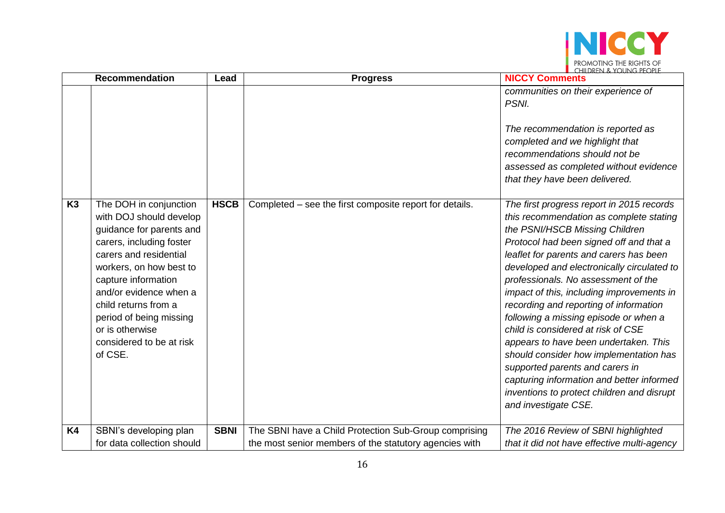

|                | <b>Recommendation</b>                                                                                                                                                                                                                                                                                                        | Lead        | <b>Progress</b>                                                                                                 | $\blacksquare$ (HIII)REN & YOUNG PEOPLE<br><b>NICCY Comments</b>                                                                                                                                                                                                                                                                                                                                                                                                                                                                                                                                                                                                                                                 |
|----------------|------------------------------------------------------------------------------------------------------------------------------------------------------------------------------------------------------------------------------------------------------------------------------------------------------------------------------|-------------|-----------------------------------------------------------------------------------------------------------------|------------------------------------------------------------------------------------------------------------------------------------------------------------------------------------------------------------------------------------------------------------------------------------------------------------------------------------------------------------------------------------------------------------------------------------------------------------------------------------------------------------------------------------------------------------------------------------------------------------------------------------------------------------------------------------------------------------------|
|                |                                                                                                                                                                                                                                                                                                                              |             |                                                                                                                 | communities on their experience of<br>PSNI.<br>The recommendation is reported as<br>completed and we highlight that<br>recommendations should not be<br>assessed as completed without evidence<br>that they have been delivered.                                                                                                                                                                                                                                                                                                                                                                                                                                                                                 |
| K <sub>3</sub> | The DOH in conjunction<br>with DOJ should develop<br>guidance for parents and<br>carers, including foster<br>carers and residential<br>workers, on how best to<br>capture information<br>and/or evidence when a<br>child returns from a<br>period of being missing<br>or is otherwise<br>considered to be at risk<br>of CSE. | <b>HSCB</b> | Completed – see the first composite report for details.                                                         | The first progress report in 2015 records<br>this recommendation as complete stating<br>the PSNI/HSCB Missing Children<br>Protocol had been signed off and that a<br>leaflet for parents and carers has been<br>developed and electronically circulated to<br>professionals. No assessment of the<br>impact of this, including improvements in<br>recording and reporting of information<br>following a missing episode or when a<br>child is considered at risk of CSE<br>appears to have been undertaken. This<br>should consider how implementation has<br>supported parents and carers in<br>capturing information and better informed<br>inventions to protect children and disrupt<br>and investigate CSE. |
| <b>K4</b>      | SBNI's developing plan<br>for data collection should                                                                                                                                                                                                                                                                         | <b>SBNI</b> | The SBNI have a Child Protection Sub-Group comprising<br>the most senior members of the statutory agencies with | The 2016 Review of SBNI highlighted<br>that it did not have effective multi-agency                                                                                                                                                                                                                                                                                                                                                                                                                                                                                                                                                                                                                               |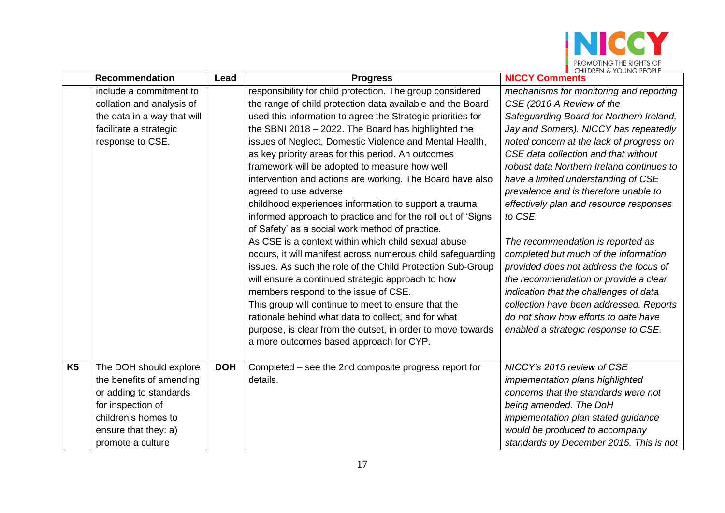

|                | <b>Recommendation</b>       | Lead       | <b>Progress</b>                                              | <b>NICCY Comments</b>                     |
|----------------|-----------------------------|------------|--------------------------------------------------------------|-------------------------------------------|
|                | include a commitment to     |            | responsibility for child protection. The group considered    | mechanisms for monitoring and reporting   |
|                | collation and analysis of   |            | the range of child protection data available and the Board   | CSE (2016 A Review of the                 |
|                | the data in a way that will |            | used this information to agree the Strategic priorities for  | Safeguarding Board for Northern Ireland,  |
|                | facilitate a strategic      |            | the SBNI 2018 - 2022. The Board has highlighted the          | Jay and Somers). NICCY has repeatedly     |
|                | response to CSE.            |            | issues of Neglect, Domestic Violence and Mental Health,      | noted concern at the lack of progress on  |
|                |                             |            | as key priority areas for this period. An outcomes           | CSE data collection and that without      |
|                |                             |            | framework will be adopted to measure how well                | robust data Northern Ireland continues to |
|                |                             |            | intervention and actions are working. The Board have also    | have a limited understanding of CSE       |
|                |                             |            | agreed to use adverse                                        | prevalence and is therefore unable to     |
|                |                             |            | childhood experiences information to support a trauma        | effectively plan and resource responses   |
|                |                             |            | informed approach to practice and for the roll out of 'Signs | to CSE.                                   |
|                |                             |            | of Safety' as a social work method of practice.              |                                           |
|                |                             |            | As CSE is a context within which child sexual abuse          | The recommendation is reported as         |
|                |                             |            | occurs, it will manifest across numerous child safeguarding  | completed but much of the information     |
|                |                             |            | issues. As such the role of the Child Protection Sub-Group   | provided does not address the focus of    |
|                |                             |            | will ensure a continued strategic approach to how            | the recommendation or provide a clear     |
|                |                             |            | members respond to the issue of CSE.                         | indication that the challenges of data    |
|                |                             |            | This group will continue to meet to ensure that the          | collection have been addressed. Reports   |
|                |                             |            | rationale behind what data to collect, and for what          | do not show how efforts to date have      |
|                |                             |            | purpose, is clear from the outset, in order to move towards  | enabled a strategic response to CSE.      |
|                |                             |            | a more outcomes based approach for CYP.                      |                                           |
|                |                             |            |                                                              |                                           |
| K <sub>5</sub> | The DOH should explore      | <b>DOH</b> | Completed – see the 2nd composite progress report for        | NICCY's 2015 review of CSE                |
|                | the benefits of amending    |            | details.                                                     | implementation plans highlighted          |
|                | or adding to standards      |            |                                                              | concerns that the standards were not      |
|                | for inspection of           |            |                                                              | being amended. The DoH                    |
|                | children's homes to         |            |                                                              | implementation plan stated guidance       |
|                | ensure that they: a)        |            |                                                              | would be produced to accompany            |
|                | promote a culture           |            |                                                              | standards by December 2015. This is not   |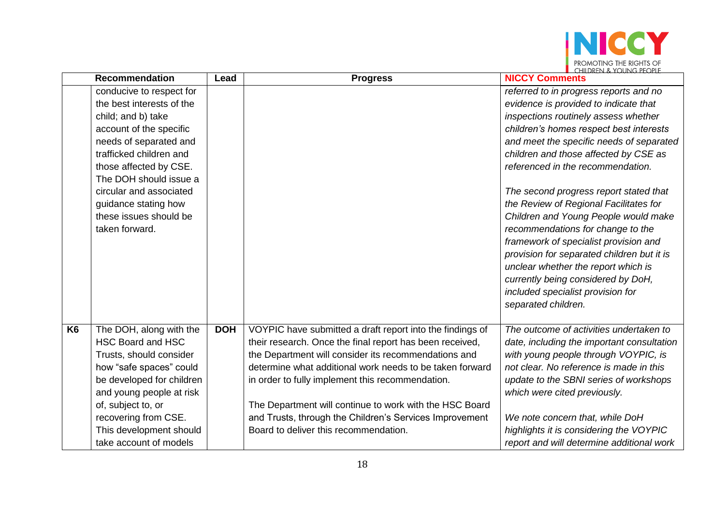

|                | <b>Recommendation</b>     | Lead       | <b>Progress</b>                                           | <b>NICCY Comments</b>                      |
|----------------|---------------------------|------------|-----------------------------------------------------------|--------------------------------------------|
|                | conducive to respect for  |            |                                                           | referred to in progress reports and no     |
|                | the best interests of the |            |                                                           | evidence is provided to indicate that      |
|                | child; and b) take        |            |                                                           | inspections routinely assess whether       |
|                | account of the specific   |            |                                                           | children's homes respect best interests    |
|                | needs of separated and    |            |                                                           | and meet the specific needs of separated   |
|                | trafficked children and   |            |                                                           | children and those affected by CSE as      |
|                | those affected by CSE.    |            |                                                           | referenced in the recommendation.          |
|                | The DOH should issue a    |            |                                                           |                                            |
|                | circular and associated   |            |                                                           | The second progress report stated that     |
|                | guidance stating how      |            |                                                           | the Review of Regional Facilitates for     |
|                | these issues should be    |            |                                                           | Children and Young People would make       |
|                | taken forward.            |            |                                                           | recommendations for change to the          |
|                |                           |            |                                                           | framework of specialist provision and      |
|                |                           |            |                                                           | provision for separated children but it is |
|                |                           |            |                                                           | unclear whether the report which is        |
|                |                           |            |                                                           | currently being considered by DoH,         |
|                |                           |            |                                                           | included specialist provision for          |
|                |                           |            |                                                           | separated children.                        |
|                |                           |            |                                                           |                                            |
| K <sub>6</sub> | The DOH, along with the   | <b>DOH</b> | VOYPIC have submitted a draft report into the findings of | The outcome of activities undertaken to    |
|                | <b>HSC Board and HSC</b>  |            | their research. Once the final report has been received,  | date, including the important consultation |
|                | Trusts, should consider   |            | the Department will consider its recommendations and      | with young people through VOYPIC, is       |
|                | how "safe spaces" could   |            | determine what additional work needs to be taken forward  | not clear. No reference is made in this    |
|                | be developed for children |            | in order to fully implement this recommendation.          | update to the SBNI series of workshops     |
|                | and young people at risk  |            |                                                           | which were cited previously.               |
|                | of, subject to, or        |            | The Department will continue to work with the HSC Board   |                                            |
|                | recovering from CSE.      |            | and Trusts, through the Children's Services Improvement   | We note concern that, while DoH            |
|                | This development should   |            | Board to deliver this recommendation.                     | highlights it is considering the VOYPIC    |
|                | take account of models    |            |                                                           | report and will determine additional work  |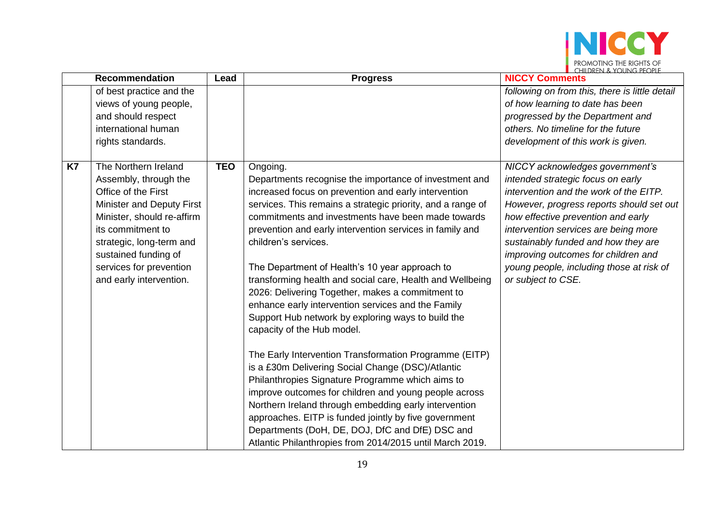

|           | <b>Recommendation</b>                                                                                                                                                                                                                                          | Lead       | <b>Progress</b>                                                                                                                                                                                                                                                                                                                                                                                                                                                                                                                                                                                                                                                                                                                                                                                                                                                                                                                                                                                                                                                                                               | $\blacksquare$ (HIII) KEN & YOUNG, PEOPLE<br><b>NICCY Comments</b>                                                                                                                                                                                                                                                                                                                       |
|-----------|----------------------------------------------------------------------------------------------------------------------------------------------------------------------------------------------------------------------------------------------------------------|------------|---------------------------------------------------------------------------------------------------------------------------------------------------------------------------------------------------------------------------------------------------------------------------------------------------------------------------------------------------------------------------------------------------------------------------------------------------------------------------------------------------------------------------------------------------------------------------------------------------------------------------------------------------------------------------------------------------------------------------------------------------------------------------------------------------------------------------------------------------------------------------------------------------------------------------------------------------------------------------------------------------------------------------------------------------------------------------------------------------------------|------------------------------------------------------------------------------------------------------------------------------------------------------------------------------------------------------------------------------------------------------------------------------------------------------------------------------------------------------------------------------------------|
|           | of best practice and the<br>views of young people,<br>and should respect<br>international human<br>rights standards.                                                                                                                                           |            |                                                                                                                                                                                                                                                                                                                                                                                                                                                                                                                                                                                                                                                                                                                                                                                                                                                                                                                                                                                                                                                                                                               | following on from this, there is little detail<br>of how learning to date has been<br>progressed by the Department and<br>others. No timeline for the future<br>development of this work is given.                                                                                                                                                                                       |
| <b>K7</b> | The Northern Ireland<br>Assembly, through the<br>Office of the First<br>Minister and Deputy First<br>Minister, should re-affirm<br>its commitment to<br>strategic, long-term and<br>sustained funding of<br>services for prevention<br>and early intervention. | <b>TEO</b> | Ongoing.<br>Departments recognise the importance of investment and<br>increased focus on prevention and early intervention<br>services. This remains a strategic priority, and a range of<br>commitments and investments have been made towards<br>prevention and early intervention services in family and<br>children's services.<br>The Department of Health's 10 year approach to<br>transforming health and social care, Health and Wellbeing<br>2026: Delivering Together, makes a commitment to<br>enhance early intervention services and the Family<br>Support Hub network by exploring ways to build the<br>capacity of the Hub model.<br>The Early Intervention Transformation Programme (EITP)<br>is a £30m Delivering Social Change (DSC)/Atlantic<br>Philanthropies Signature Programme which aims to<br>improve outcomes for children and young people across<br>Northern Ireland through embedding early intervention<br>approaches. EITP is funded jointly by five government<br>Departments (DoH, DE, DOJ, DfC and DfE) DSC and<br>Atlantic Philanthropies from 2014/2015 until March 2019. | NICCY acknowledges government's<br>intended strategic focus on early<br>intervention and the work of the EITP.<br>However, progress reports should set out<br>how effective prevention and early<br>intervention services are being more<br>sustainably funded and how they are<br>improving outcomes for children and<br>young people, including those at risk of<br>or subject to CSE. |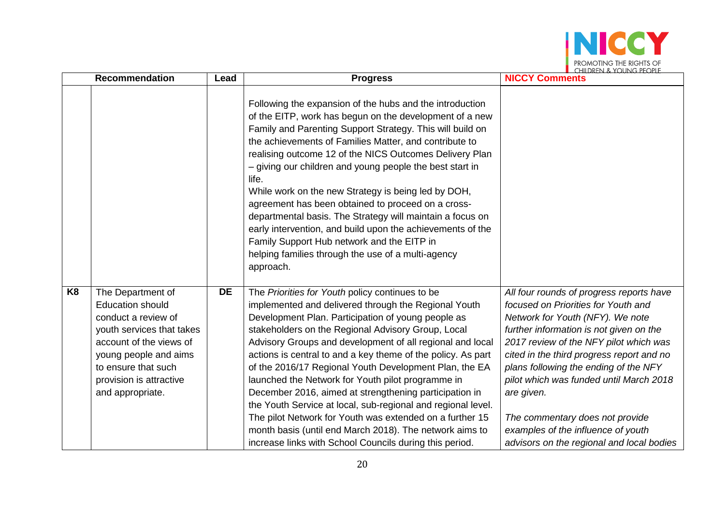

|                | <b>Recommendation</b>                                                                                                                                                                                                      | Lead      | <b>Progress</b>                                                                                                                                                                                                                                                                                                                                                                                                                                                                                                                                                                                                                                                                                                                                                             | <b>CHILDREN &amp; YOUNG PEOPLE</b><br><b>NICCY Comments</b>                                                                                                                                                                                                                                                                                                                                                                                                                   |
|----------------|----------------------------------------------------------------------------------------------------------------------------------------------------------------------------------------------------------------------------|-----------|-----------------------------------------------------------------------------------------------------------------------------------------------------------------------------------------------------------------------------------------------------------------------------------------------------------------------------------------------------------------------------------------------------------------------------------------------------------------------------------------------------------------------------------------------------------------------------------------------------------------------------------------------------------------------------------------------------------------------------------------------------------------------------|-------------------------------------------------------------------------------------------------------------------------------------------------------------------------------------------------------------------------------------------------------------------------------------------------------------------------------------------------------------------------------------------------------------------------------------------------------------------------------|
|                |                                                                                                                                                                                                                            |           | Following the expansion of the hubs and the introduction<br>of the EITP, work has begun on the development of a new<br>Family and Parenting Support Strategy. This will build on<br>the achievements of Families Matter, and contribute to<br>realising outcome 12 of the NICS Outcomes Delivery Plan<br>- giving our children and young people the best start in<br>life.<br>While work on the new Strategy is being led by DOH,<br>agreement has been obtained to proceed on a cross-<br>departmental basis. The Strategy will maintain a focus on<br>early intervention, and build upon the achievements of the<br>Family Support Hub network and the EITP in<br>helping families through the use of a multi-agency<br>approach.                                         |                                                                                                                                                                                                                                                                                                                                                                                                                                                                               |
| K <sub>8</sub> | The Department of<br><b>Education should</b><br>conduct a review of<br>youth services that takes<br>account of the views of<br>young people and aims<br>to ensure that such<br>provision is attractive<br>and appropriate. | <b>DE</b> | The Priorities for Youth policy continues to be<br>implemented and delivered through the Regional Youth<br>Development Plan. Participation of young people as<br>stakeholders on the Regional Advisory Group, Local<br>Advisory Groups and development of all regional and local<br>actions is central to and a key theme of the policy. As part<br>of the 2016/17 Regional Youth Development Plan, the EA<br>launched the Network for Youth pilot programme in<br>December 2016, aimed at strengthening participation in<br>the Youth Service at local, sub-regional and regional level.<br>The pilot Network for Youth was extended on a further 15<br>month basis (until end March 2018). The network aims to<br>increase links with School Councils during this period. | All four rounds of progress reports have<br>focused on Priorities for Youth and<br>Network for Youth (NFY). We note<br>further information is not given on the<br>2017 review of the NFY pilot which was<br>cited in the third progress report and no<br>plans following the ending of the NFY<br>pilot which was funded until March 2018<br>are given.<br>The commentary does not provide<br>examples of the influence of youth<br>advisors on the regional and local bodies |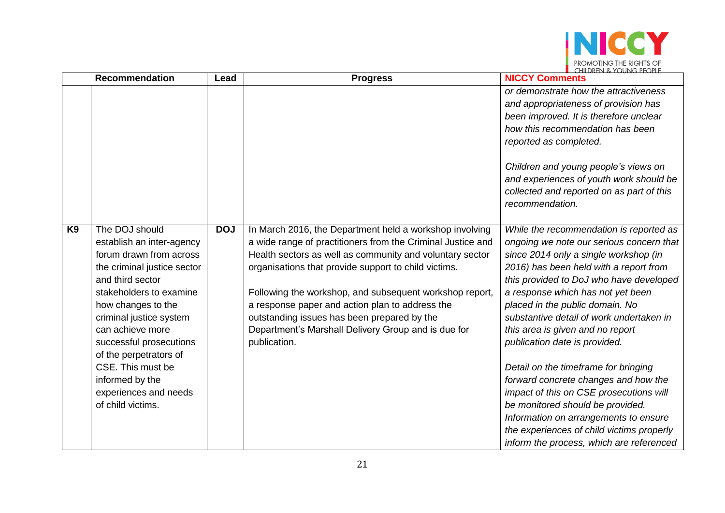

|                | <b>Recommendation</b>                                                                                                                                                                                                                                                                                                                                                | Lead       | <b>Progress</b>                                                                                                                                                                                                                                                                                                                                                                                                                                                                | $\left\langle \right\rangle$ in the set of $\left\langle \right\rangle$ and $\left\langle \right\rangle$ and $\left\langle \right\rangle$ and $\left\langle \right\rangle$ and $\left\langle \right\rangle$ and $\left\langle \right\rangle$<br><b>NICCY Comments</b>                                                                                                                                                                                                                                                                                                                                                                                                                                       |
|----------------|----------------------------------------------------------------------------------------------------------------------------------------------------------------------------------------------------------------------------------------------------------------------------------------------------------------------------------------------------------------------|------------|--------------------------------------------------------------------------------------------------------------------------------------------------------------------------------------------------------------------------------------------------------------------------------------------------------------------------------------------------------------------------------------------------------------------------------------------------------------------------------|-------------------------------------------------------------------------------------------------------------------------------------------------------------------------------------------------------------------------------------------------------------------------------------------------------------------------------------------------------------------------------------------------------------------------------------------------------------------------------------------------------------------------------------------------------------------------------------------------------------------------------------------------------------------------------------------------------------|
|                |                                                                                                                                                                                                                                                                                                                                                                      |            |                                                                                                                                                                                                                                                                                                                                                                                                                                                                                | or demonstrate how the attractiveness<br>and appropriateness of provision has<br>been improved. It is therefore unclear<br>how this recommendation has been<br>reported as completed.<br>Children and young people's views on                                                                                                                                                                                                                                                                                                                                                                                                                                                                               |
|                |                                                                                                                                                                                                                                                                                                                                                                      |            |                                                                                                                                                                                                                                                                                                                                                                                                                                                                                | and experiences of youth work should be<br>collected and reported on as part of this<br>recommendation.                                                                                                                                                                                                                                                                                                                                                                                                                                                                                                                                                                                                     |
| K <sub>9</sub> | The DOJ should<br>establish an inter-agency<br>forum drawn from across<br>the criminal justice sector<br>and third sector<br>stakeholders to examine<br>how changes to the<br>criminal justice system<br>can achieve more<br>successful prosecutions<br>of the perpetrators of<br>CSE. This must be<br>informed by the<br>experiences and needs<br>of child victims. | <b>DOJ</b> | In March 2016, the Department held a workshop involving<br>a wide range of practitioners from the Criminal Justice and<br>Health sectors as well as community and voluntary sector<br>organisations that provide support to child victims.<br>Following the workshop, and subsequent workshop report,<br>a response paper and action plan to address the<br>outstanding issues has been prepared by the<br>Department's Marshall Delivery Group and is due for<br>publication. | While the recommendation is reported as<br>ongoing we note our serious concern that<br>since 2014 only a single workshop (in<br>2016) has been held with a report from<br>this provided to DoJ who have developed<br>a response which has not yet been<br>placed in the public domain. No<br>substantive detail of work undertaken in<br>this area is given and no report<br>publication date is provided.<br>Detail on the timeframe for bringing<br>forward concrete changes and how the<br>impact of this on CSE prosecutions will<br>be monitored should be provided.<br>Information on arrangements to ensure<br>the experiences of child victims properly<br>inform the process, which are referenced |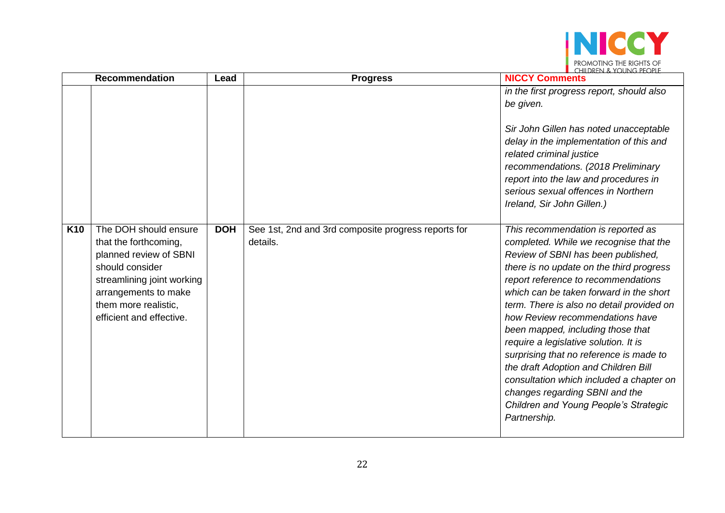

|            | <b>Recommendation</b>                                                                                                                                                                                 | Lead       | <b>Progress</b>                                                 | $\blacksquare$ (HIII)REN & YOUNG PEOPLE<br><b>NICCY Comments</b>                                                                                                                                                                                                                                                                                                                                                                                                                                                                                                                                                                         |
|------------|-------------------------------------------------------------------------------------------------------------------------------------------------------------------------------------------------------|------------|-----------------------------------------------------------------|------------------------------------------------------------------------------------------------------------------------------------------------------------------------------------------------------------------------------------------------------------------------------------------------------------------------------------------------------------------------------------------------------------------------------------------------------------------------------------------------------------------------------------------------------------------------------------------------------------------------------------------|
|            |                                                                                                                                                                                                       |            |                                                                 | in the first progress report, should also<br>be given.                                                                                                                                                                                                                                                                                                                                                                                                                                                                                                                                                                                   |
|            |                                                                                                                                                                                                       |            |                                                                 | Sir John Gillen has noted unacceptable<br>delay in the implementation of this and<br>related criminal justice<br>recommendations. (2018 Preliminary<br>report into the law and procedures in<br>serious sexual offences in Northern<br>Ireland, Sir John Gillen.)                                                                                                                                                                                                                                                                                                                                                                        |
| <b>K10</b> | The DOH should ensure<br>that the forthcoming,<br>planned review of SBNI<br>should consider<br>streamlining joint working<br>arrangements to make<br>them more realistic,<br>efficient and effective. | <b>DOH</b> | See 1st, 2nd and 3rd composite progress reports for<br>details. | This recommendation is reported as<br>completed. While we recognise that the<br>Review of SBNI has been published,<br>there is no update on the third progress<br>report reference to recommendations<br>which can be taken forward in the short<br>term. There is also no detail provided on<br>how Review recommendations have<br>been mapped, including those that<br>require a legislative solution. It is<br>surprising that no reference is made to<br>the draft Adoption and Children Bill<br>consultation which included a chapter on<br>changes regarding SBNI and the<br>Children and Young People's Strategic<br>Partnership. |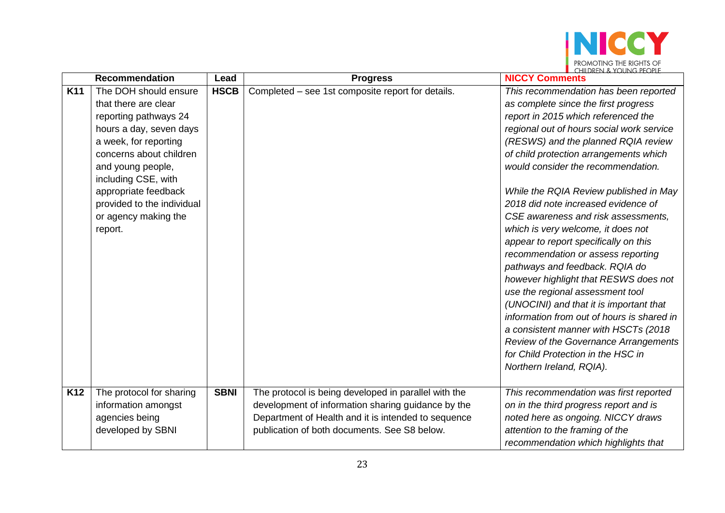

|            | <b>Recommendation</b>      | Lead        | <b>Progress</b>                                      | <b>NICCY Comments</b>                      |
|------------|----------------------------|-------------|------------------------------------------------------|--------------------------------------------|
| <b>K11</b> | The DOH should ensure      | <b>HSCB</b> | Completed - see 1st composite report for details.    | This recommendation has been reported      |
|            | that there are clear       |             |                                                      | as complete since the first progress       |
|            | reporting pathways 24      |             |                                                      | report in 2015 which referenced the        |
|            | hours a day, seven days    |             |                                                      | regional out of hours social work service  |
|            | a week, for reporting      |             |                                                      | (RESWS) and the planned RQIA review        |
|            | concerns about children    |             |                                                      | of child protection arrangements which     |
|            | and young people,          |             |                                                      | would consider the recommendation.         |
|            | including CSE, with        |             |                                                      |                                            |
|            | appropriate feedback       |             |                                                      | While the RQIA Review published in May     |
|            | provided to the individual |             |                                                      | 2018 did note increased evidence of        |
|            | or agency making the       |             |                                                      | CSE awareness and risk assessments,        |
|            | report.                    |             |                                                      | which is very welcome, it does not         |
|            |                            |             |                                                      | appear to report specifically on this      |
|            |                            |             |                                                      | recommendation or assess reporting         |
|            |                            |             |                                                      | pathways and feedback. RQIA do             |
|            |                            |             |                                                      | however highlight that RESWS does not      |
|            |                            |             |                                                      | use the regional assessment tool           |
|            |                            |             |                                                      | (UNOCINI) and that it is important that    |
|            |                            |             |                                                      | information from out of hours is shared in |
|            |                            |             |                                                      | a consistent manner with HSCTs (2018)      |
|            |                            |             |                                                      | Review of the Governance Arrangements      |
|            |                            |             |                                                      | for Child Protection in the HSC in         |
|            |                            |             |                                                      | Northern Ireland, RQIA).                   |
|            |                            |             |                                                      |                                            |
| K12        | The protocol for sharing   | <b>SBNI</b> | The protocol is being developed in parallel with the | This recommendation was first reported     |
|            | information amongst        |             | development of information sharing guidance by the   | on in the third progress report and is     |
|            | agencies being             |             | Department of Health and it is intended to sequence  | noted here as ongoing. NICCY draws         |
|            | developed by SBNI          |             | publication of both documents. See S8 below.         | attention to the framing of the            |
|            |                            |             |                                                      | recommendation which highlights that       |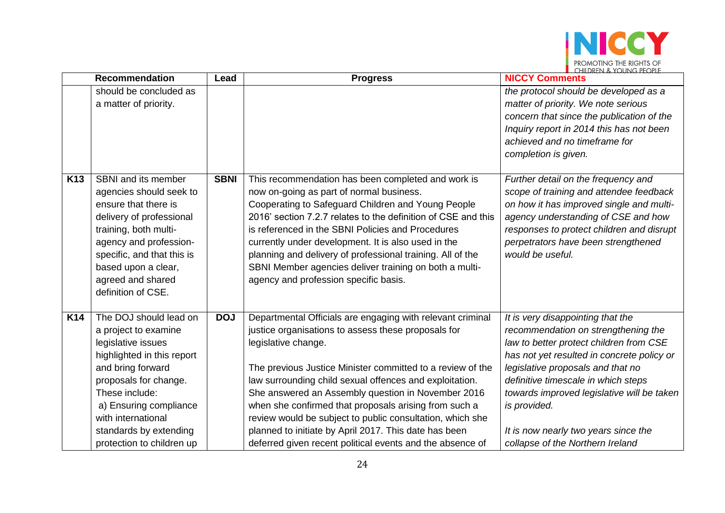

|                 | <b>Recommendation</b>                                                                                                                                                                                                                                                     | Lead        | <b>Progress</b>                                                                                                                                                                                                                                                                                                                                                                                                                                                                                                                                                     | $\blacksquare$ (FILDREN & TUUNG PEUPLE<br><b>NICCY Comments</b>                                                                                                                                                                                                                                                                                                                         |
|-----------------|---------------------------------------------------------------------------------------------------------------------------------------------------------------------------------------------------------------------------------------------------------------------------|-------------|---------------------------------------------------------------------------------------------------------------------------------------------------------------------------------------------------------------------------------------------------------------------------------------------------------------------------------------------------------------------------------------------------------------------------------------------------------------------------------------------------------------------------------------------------------------------|-----------------------------------------------------------------------------------------------------------------------------------------------------------------------------------------------------------------------------------------------------------------------------------------------------------------------------------------------------------------------------------------|
|                 | should be concluded as<br>a matter of priority.                                                                                                                                                                                                                           |             |                                                                                                                                                                                                                                                                                                                                                                                                                                                                                                                                                                     | the protocol should be developed as a<br>matter of priority. We note serious<br>concern that since the publication of the<br>Inquiry report in 2014 this has not been<br>achieved and no timeframe for<br>completion is given.                                                                                                                                                          |
| K <sub>13</sub> | SBNI and its member<br>agencies should seek to<br>ensure that there is<br>delivery of professional<br>training, both multi-<br>agency and profession-<br>specific, and that this is<br>based upon a clear,<br>agreed and shared<br>definition of CSE.                     | <b>SBNI</b> | This recommendation has been completed and work is<br>now on-going as part of normal business.<br>Cooperating to Safeguard Children and Young People<br>2016' section 7.2.7 relates to the definition of CSE and this<br>is referenced in the SBNI Policies and Procedures<br>currently under development. It is also used in the<br>planning and delivery of professional training. All of the<br>SBNI Member agencies deliver training on both a multi-<br>agency and profession specific basis.                                                                  | Further detail on the frequency and<br>scope of training and attendee feedback<br>on how it has improved single and multi-<br>agency understanding of CSE and how<br>responses to protect children and disrupt<br>perpetrators have been strengthened<br>would be useful.                                                                                                               |
| <b>K14</b>      | The DOJ should lead on<br>a project to examine<br>legislative issues<br>highlighted in this report<br>and bring forward<br>proposals for change.<br>These include:<br>a) Ensuring compliance<br>with international<br>standards by extending<br>protection to children up | <b>DOJ</b>  | Departmental Officials are engaging with relevant criminal<br>justice organisations to assess these proposals for<br>legislative change.<br>The previous Justice Minister committed to a review of the<br>law surrounding child sexual offences and exploitation.<br>She answered an Assembly question in November 2016<br>when she confirmed that proposals arising from such a<br>review would be subject to public consultation, which she<br>planned to initiate by April 2017. This date has been<br>deferred given recent political events and the absence of | It is very disappointing that the<br>recommendation on strengthening the<br>law to better protect children from CSE<br>has not yet resulted in concrete policy or<br>legislative proposals and that no<br>definitive timescale in which steps<br>towards improved legislative will be taken<br>is provided.<br>It is now nearly two years since the<br>collapse of the Northern Ireland |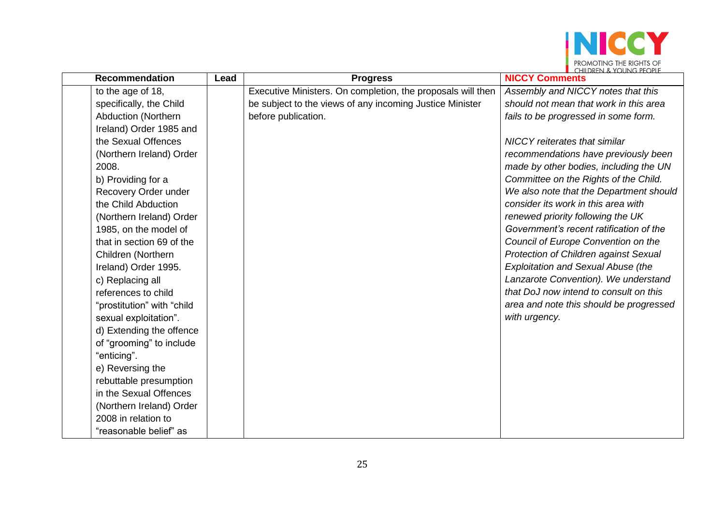

| <b>Recommendation</b>      | Lead | <b>Progress</b>                                             | $\blacksquare$ $\blacksquare$ $\blacksquare$ $\blacksquare$ $\blacksquare$ $\blacksquare$ $\blacksquare$ $\blacksquare$ $\blacksquare$ $\blacksquare$ $\blacksquare$ $\blacksquare$ $\blacksquare$ $\blacksquare$ $\blacksquare$ $\blacksquare$ $\blacksquare$ $\blacksquare$ $\blacksquare$ $\blacksquare$ $\blacksquare$ $\blacksquare$ $\blacksquare$ $\blacksquare$ $\blacksquare$ $\blacksquare$ $\blacksquare$ $\blacksquare$ $\blacksquare$ $\blacksquare$ $\blacksquare$ $\blacks$<br><b>NICCY Comments</b> |
|----------------------------|------|-------------------------------------------------------------|---------------------------------------------------------------------------------------------------------------------------------------------------------------------------------------------------------------------------------------------------------------------------------------------------------------------------------------------------------------------------------------------------------------------------------------------------------------------------------------------------------------------|
| to the age of 18,          |      | Executive Ministers. On completion, the proposals will then | Assembly and NICCY notes that this                                                                                                                                                                                                                                                                                                                                                                                                                                                                                  |
| specifically, the Child    |      | be subject to the views of any incoming Justice Minister    | should not mean that work in this area                                                                                                                                                                                                                                                                                                                                                                                                                                                                              |
| <b>Abduction (Northern</b> |      | before publication.                                         | fails to be progressed in some form.                                                                                                                                                                                                                                                                                                                                                                                                                                                                                |
| Ireland) Order 1985 and    |      |                                                             |                                                                                                                                                                                                                                                                                                                                                                                                                                                                                                                     |
| the Sexual Offences        |      |                                                             | <b>NICCY</b> reiterates that similar                                                                                                                                                                                                                                                                                                                                                                                                                                                                                |
| (Northern Ireland) Order   |      |                                                             | recommendations have previously been                                                                                                                                                                                                                                                                                                                                                                                                                                                                                |
| 2008.                      |      |                                                             | made by other bodies, including the UN                                                                                                                                                                                                                                                                                                                                                                                                                                                                              |
| b) Providing for a         |      |                                                             | Committee on the Rights of the Child.                                                                                                                                                                                                                                                                                                                                                                                                                                                                               |
| Recovery Order under       |      |                                                             | We also note that the Department should                                                                                                                                                                                                                                                                                                                                                                                                                                                                             |
| the Child Abduction        |      |                                                             | consider its work in this area with                                                                                                                                                                                                                                                                                                                                                                                                                                                                                 |
| (Northern Ireland) Order   |      |                                                             | renewed priority following the UK                                                                                                                                                                                                                                                                                                                                                                                                                                                                                   |
| 1985, on the model of      |      |                                                             | Government's recent ratification of the                                                                                                                                                                                                                                                                                                                                                                                                                                                                             |
| that in section 69 of the  |      |                                                             | Council of Europe Convention on the                                                                                                                                                                                                                                                                                                                                                                                                                                                                                 |
| Children (Northern         |      |                                                             | Protection of Children against Sexual                                                                                                                                                                                                                                                                                                                                                                                                                                                                               |
| Ireland) Order 1995.       |      |                                                             | <b>Exploitation and Sexual Abuse (the</b>                                                                                                                                                                                                                                                                                                                                                                                                                                                                           |
| c) Replacing all           |      |                                                             | Lanzarote Convention). We understand                                                                                                                                                                                                                                                                                                                                                                                                                                                                                |
| references to child        |      |                                                             | that DoJ now intend to consult on this                                                                                                                                                                                                                                                                                                                                                                                                                                                                              |
| "prostitution" with "child |      |                                                             | area and note this should be progressed                                                                                                                                                                                                                                                                                                                                                                                                                                                                             |
| sexual exploitation".      |      |                                                             | with urgency.                                                                                                                                                                                                                                                                                                                                                                                                                                                                                                       |
| d) Extending the offence   |      |                                                             |                                                                                                                                                                                                                                                                                                                                                                                                                                                                                                                     |
| of "grooming" to include   |      |                                                             |                                                                                                                                                                                                                                                                                                                                                                                                                                                                                                                     |
| "enticing".                |      |                                                             |                                                                                                                                                                                                                                                                                                                                                                                                                                                                                                                     |
| e) Reversing the           |      |                                                             |                                                                                                                                                                                                                                                                                                                                                                                                                                                                                                                     |
| rebuttable presumption     |      |                                                             |                                                                                                                                                                                                                                                                                                                                                                                                                                                                                                                     |
| in the Sexual Offences     |      |                                                             |                                                                                                                                                                                                                                                                                                                                                                                                                                                                                                                     |
| (Northern Ireland) Order   |      |                                                             |                                                                                                                                                                                                                                                                                                                                                                                                                                                                                                                     |
| 2008 in relation to        |      |                                                             |                                                                                                                                                                                                                                                                                                                                                                                                                                                                                                                     |
| "reasonable belief" as     |      |                                                             |                                                                                                                                                                                                                                                                                                                                                                                                                                                                                                                     |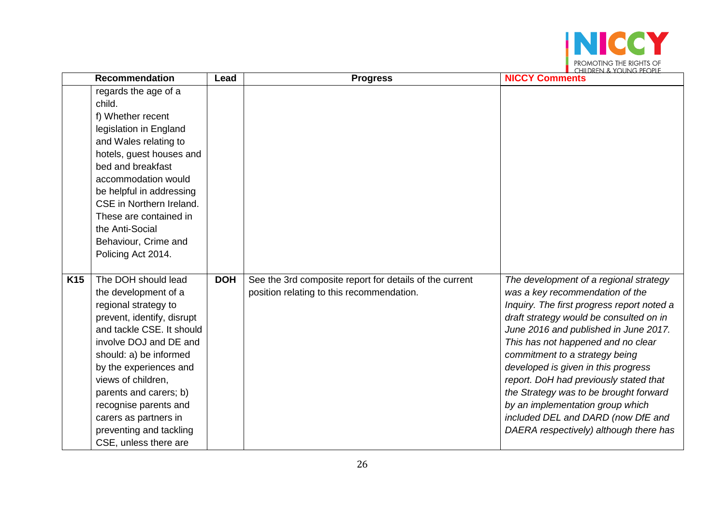

|            | <b>Recommendation</b>                              | Lead       | <b>Progress</b>                                         | $\blacksquare$ Children & Young People<br><b>NICCY Comments</b>                       |
|------------|----------------------------------------------------|------------|---------------------------------------------------------|---------------------------------------------------------------------------------------|
|            | regards the age of a<br>child.                     |            |                                                         |                                                                                       |
|            | f) Whether recent                                  |            |                                                         |                                                                                       |
|            | legislation in England                             |            |                                                         |                                                                                       |
|            | and Wales relating to                              |            |                                                         |                                                                                       |
|            | hotels, guest houses and                           |            |                                                         |                                                                                       |
|            | bed and breakfast                                  |            |                                                         |                                                                                       |
|            | accommodation would                                |            |                                                         |                                                                                       |
|            | be helpful in addressing                           |            |                                                         |                                                                                       |
|            | CSE in Northern Ireland.                           |            |                                                         |                                                                                       |
|            | These are contained in                             |            |                                                         |                                                                                       |
|            | the Anti-Social                                    |            |                                                         |                                                                                       |
|            | Behaviour, Crime and                               |            |                                                         |                                                                                       |
|            | Policing Act 2014.                                 |            |                                                         |                                                                                       |
|            |                                                    |            |                                                         |                                                                                       |
| <b>K15</b> | The DOH should lead                                | <b>DOH</b> | See the 3rd composite report for details of the current | The development of a regional strategy                                                |
|            | the development of a                               |            | position relating to this recommendation.               | was a key recommendation of the                                                       |
|            | regional strategy to<br>prevent, identify, disrupt |            |                                                         | Inquiry. The first progress report noted a<br>draft strategy would be consulted on in |
|            | and tackle CSE. It should                          |            |                                                         | June 2016 and published in June 2017.                                                 |
|            | involve DOJ and DE and                             |            |                                                         | This has not happened and no clear                                                    |
|            | should: a) be informed                             |            |                                                         | commitment to a strategy being                                                        |
|            | by the experiences and                             |            |                                                         | developed is given in this progress                                                   |
|            | views of children,                                 |            |                                                         | report. DoH had previously stated that                                                |
|            | parents and carers; b)                             |            |                                                         | the Strategy was to be brought forward                                                |
|            | recognise parents and                              |            |                                                         | by an implementation group which                                                      |
|            | carers as partners in                              |            |                                                         | included DEL and DARD (now DfE and                                                    |
|            | preventing and tackling                            |            |                                                         | DAERA respectively) although there has                                                |
|            | CSE, unless there are                              |            |                                                         |                                                                                       |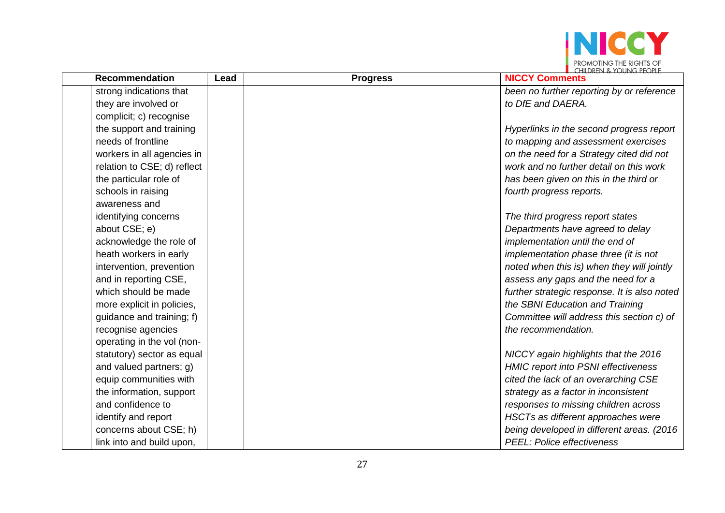

| <b>Recommendation</b>       | Lead | <b>Progress</b> | $\blacksquare$ Children & Young People<br><b>NICCY Comments</b> |
|-----------------------------|------|-----------------|-----------------------------------------------------------------|
| strong indications that     |      |                 | been no further reporting by or reference                       |
| they are involved or        |      |                 | to DfE and DAERA.                                               |
| complicit; c) recognise     |      |                 |                                                                 |
| the support and training    |      |                 | Hyperlinks in the second progress report                        |
| needs of frontline          |      |                 | to mapping and assessment exercises                             |
| workers in all agencies in  |      |                 | on the need for a Strategy cited did not                        |
| relation to CSE; d) reflect |      |                 | work and no further detail on this work                         |
| the particular role of      |      |                 | has been given on this in the third or                          |
| schools in raising          |      |                 | fourth progress reports.                                        |
| awareness and               |      |                 |                                                                 |
| identifying concerns        |      |                 | The third progress report states                                |
| about CSE; e)               |      |                 | Departments have agreed to delay                                |
| acknowledge the role of     |      |                 | implementation until the end of                                 |
| heath workers in early      |      |                 | implementation phase three (it is not                           |
| intervention, prevention    |      |                 | noted when this is) when they will jointly                      |
| and in reporting CSE,       |      |                 | assess any gaps and the need for a                              |
| which should be made        |      |                 | further strategic response. It is also noted                    |
| more explicit in policies,  |      |                 | the SBNI Education and Training                                 |
| guidance and training; f)   |      |                 | Committee will address this section c) of                       |
| recognise agencies          |      |                 | the recommendation.                                             |
| operating in the vol (non-  |      |                 |                                                                 |
| statutory) sector as equal  |      |                 | NICCY again highlights that the 2016                            |
| and valued partners; g)     |      |                 | <b>HMIC report into PSNI effectiveness</b>                      |
| equip communities with      |      |                 | cited the lack of an overarching CSE                            |
| the information, support    |      |                 | strategy as a factor in inconsistent                            |
| and confidence to           |      |                 | responses to missing children across                            |
| identify and report         |      |                 | HSCTs as different approaches were                              |
| concerns about CSE; h)      |      |                 | being developed in different areas. (2016)                      |
| link into and build upon,   |      |                 | <b>PEEL: Police effectiveness</b>                               |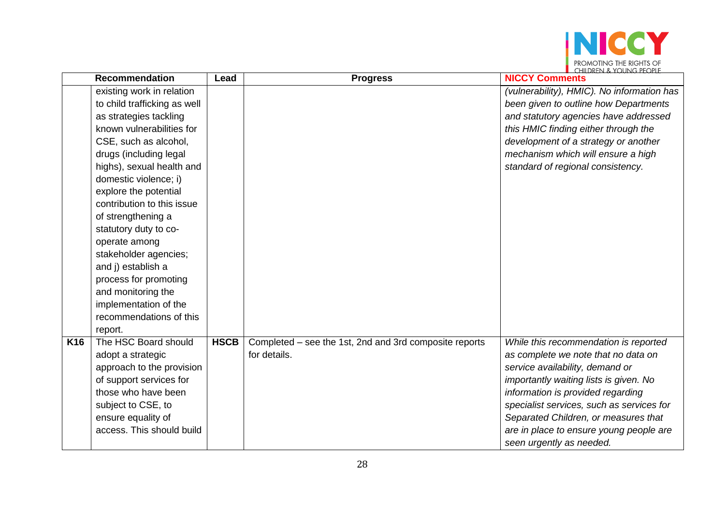

|                 | <b>Recommendation</b>        | Lead        | <b>Progress</b>                                        | <b>NICCY Comments</b>                      |
|-----------------|------------------------------|-------------|--------------------------------------------------------|--------------------------------------------|
|                 | existing work in relation    |             |                                                        | (vulnerability), HMIC). No information has |
|                 | to child trafficking as well |             |                                                        | been given to outline how Departments      |
|                 | as strategies tackling       |             |                                                        | and statutory agencies have addressed      |
|                 | known vulnerabilities for    |             |                                                        | this HMIC finding either through the       |
|                 | CSE, such as alcohol,        |             |                                                        | development of a strategy or another       |
|                 | drugs (including legal       |             |                                                        | mechanism which will ensure a high         |
|                 | highs), sexual health and    |             |                                                        | standard of regional consistency.          |
|                 | domestic violence; i)        |             |                                                        |                                            |
|                 | explore the potential        |             |                                                        |                                            |
|                 | contribution to this issue   |             |                                                        |                                            |
|                 | of strengthening a           |             |                                                        |                                            |
|                 | statutory duty to co-        |             |                                                        |                                            |
|                 | operate among                |             |                                                        |                                            |
|                 | stakeholder agencies;        |             |                                                        |                                            |
|                 | and j) establish a           |             |                                                        |                                            |
|                 | process for promoting        |             |                                                        |                                            |
|                 | and monitoring the           |             |                                                        |                                            |
|                 | implementation of the        |             |                                                        |                                            |
|                 | recommendations of this      |             |                                                        |                                            |
|                 | report.                      |             |                                                        |                                            |
| K <sub>16</sub> | The HSC Board should         | <b>HSCB</b> | Completed – see the 1st, 2nd and 3rd composite reports | While this recommendation is reported      |
|                 | adopt a strategic            |             | for details.                                           | as complete we note that no data on        |
|                 | approach to the provision    |             |                                                        | service availability, demand or            |
|                 | of support services for      |             |                                                        | importantly waiting lists is given. No     |
|                 | those who have been          |             |                                                        | information is provided regarding          |
|                 | subject to CSE, to           |             |                                                        | specialist services, such as services for  |
|                 | ensure equality of           |             |                                                        | Separated Children, or measures that       |
|                 | access. This should build    |             |                                                        | are in place to ensure young people are    |
|                 |                              |             |                                                        | seen urgently as needed.                   |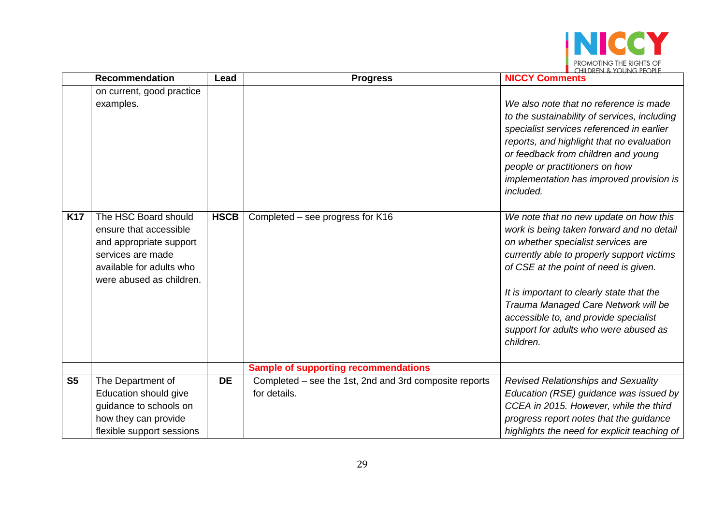

|                | <b>Recommendation</b>                                                                                                                                                                            | Lead        | <b>Progress</b>                                                        | $\blacksquare$ CHILDREN & YOUNG PEOPLE<br><b>NICCY Comments</b>                                                                                                                                                                                                                                                                                                                                                                                                                                                                                                                                                                                                                                                           |
|----------------|--------------------------------------------------------------------------------------------------------------------------------------------------------------------------------------------------|-------------|------------------------------------------------------------------------|---------------------------------------------------------------------------------------------------------------------------------------------------------------------------------------------------------------------------------------------------------------------------------------------------------------------------------------------------------------------------------------------------------------------------------------------------------------------------------------------------------------------------------------------------------------------------------------------------------------------------------------------------------------------------------------------------------------------------|
| <b>K17</b>     | on current, good practice<br>examples.<br>The HSC Board should<br>ensure that accessible<br>and appropriate support<br>services are made<br>available for adults who<br>were abused as children. | <b>HSCB</b> | Completed - see progress for K16                                       | We also note that no reference is made<br>to the sustainability of services, including<br>specialist services referenced in earlier<br>reports, and highlight that no evaluation<br>or feedback from children and young<br>people or practitioners on how<br>implementation has improved provision is<br>included.<br>We note that no new update on how this<br>work is being taken forward and no detail<br>on whether specialist services are<br>currently able to properly support victims<br>of CSE at the point of need is given.<br>It is important to clearly state that the<br>Trauma Managed Care Network will be<br>accessible to, and provide specialist<br>support for adults who were abused as<br>children. |
|                |                                                                                                                                                                                                  |             | <b>Sample of supporting recommendations</b>                            |                                                                                                                                                                                                                                                                                                                                                                                                                                                                                                                                                                                                                                                                                                                           |
| S <sub>5</sub> | The Department of<br>Education should give<br>guidance to schools on<br>how they can provide<br>flexible support sessions                                                                        | <b>DE</b>   | Completed – see the 1st, 2nd and 3rd composite reports<br>for details. | <b>Revised Relationships and Sexuality</b><br>Education (RSE) guidance was issued by<br>CCEA in 2015. However, while the third<br>progress report notes that the guidance<br>highlights the need for explicit teaching of                                                                                                                                                                                                                                                                                                                                                                                                                                                                                                 |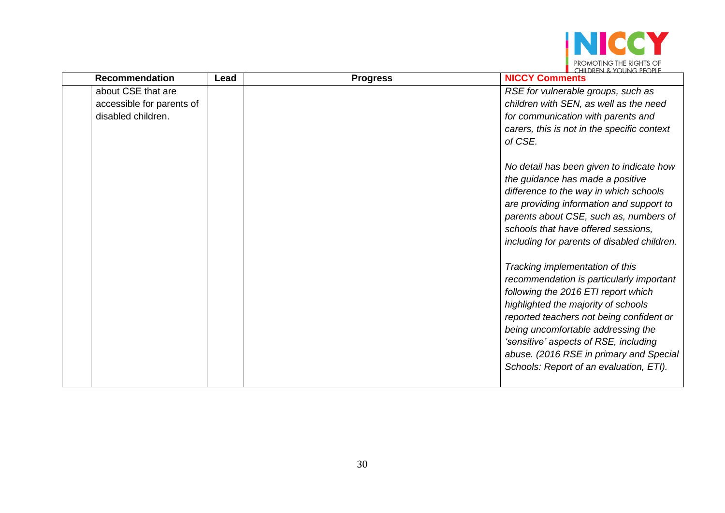

| <b>Recommendation</b>                                                 | Lead | <b>Progress</b> | <b>NICCY Comments</b>                                                                                                                                                                                                                                                                                                                                                      |
|-----------------------------------------------------------------------|------|-----------------|----------------------------------------------------------------------------------------------------------------------------------------------------------------------------------------------------------------------------------------------------------------------------------------------------------------------------------------------------------------------------|
| about CSE that are<br>accessible for parents of<br>disabled children. |      |                 | RSE for vulnerable groups, such as<br>children with SEN, as well as the need<br>for communication with parents and<br>carers, this is not in the specific context<br>of CSE.                                                                                                                                                                                               |
|                                                                       |      |                 | No detail has been given to indicate how<br>the guidance has made a positive<br>difference to the way in which schools<br>are providing information and support to<br>parents about CSE, such as, numbers of<br>schools that have offered sessions,<br>including for parents of disabled children.                                                                         |
|                                                                       |      |                 | Tracking implementation of this<br>recommendation is particularly important<br>following the 2016 ETI report which<br>highlighted the majority of schools<br>reported teachers not being confident or<br>being uncomfortable addressing the<br>'sensitive' aspects of RSE, including<br>abuse. (2016 RSE in primary and Special<br>Schools: Report of an evaluation, ETI). |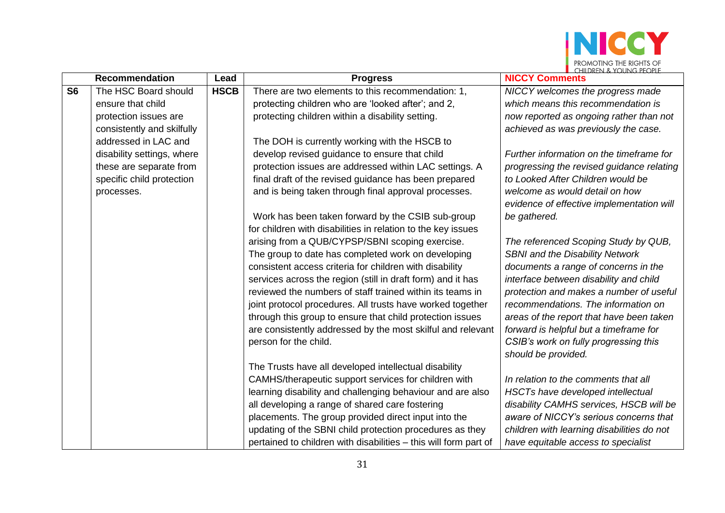

|           | <b>Recommendation</b>      | Lead        | <b>Progress</b>                                                  | $\blacksquare$ (FILD KEN $\sim$ 1 (JUNG PEC PLE<br><b>NICCY Comments</b> |
|-----------|----------------------------|-------------|------------------------------------------------------------------|--------------------------------------------------------------------------|
| <b>S6</b> | The HSC Board should       | <b>HSCB</b> | There are two elements to this recommendation: 1,                | NICCY welcomes the progress made                                         |
|           | ensure that child          |             | protecting children who are 'looked after'; and 2,               | which means this recommendation is                                       |
|           | protection issues are      |             | protecting children within a disability setting.                 | now reported as ongoing rather than not                                  |
|           | consistently and skilfully |             |                                                                  | achieved as was previously the case.                                     |
|           | addressed in LAC and       |             | The DOH is currently working with the HSCB to                    |                                                                          |
|           | disability settings, where |             | develop revised guidance to ensure that child                    | Further information on the timeframe for                                 |
|           | these are separate from    |             | protection issues are addressed within LAC settings. A           | progressing the revised guidance relating                                |
|           | specific child protection  |             | final draft of the revised guidance has been prepared            | to Looked After Children would be                                        |
|           | processes.                 |             | and is being taken through final approval processes.             | welcome as would detail on how                                           |
|           |                            |             |                                                                  | evidence of effective implementation will                                |
|           |                            |             | Work has been taken forward by the CSIB sub-group                | be gathered.                                                             |
|           |                            |             | for children with disabilities in relation to the key issues     |                                                                          |
|           |                            |             | arising from a QUB/CYPSP/SBNI scoping exercise.                  | The referenced Scoping Study by QUB,                                     |
|           |                            |             | The group to date has completed work on developing               | <b>SBNI</b> and the Disability Network                                   |
|           |                            |             | consistent access criteria for children with disability          | documents a range of concerns in the                                     |
|           |                            |             | services across the region (still in draft form) and it has      | interface between disability and child                                   |
|           |                            |             | reviewed the numbers of staff trained within its teams in        | protection and makes a number of useful                                  |
|           |                            |             | joint protocol procedures. All trusts have worked together       | recommendations. The information on                                      |
|           |                            |             | through this group to ensure that child protection issues        | areas of the report that have been taken                                 |
|           |                            |             | are consistently addressed by the most skilful and relevant      | forward is helpful but a timeframe for                                   |
|           |                            |             | person for the child.                                            | CSIB's work on fully progressing this                                    |
|           |                            |             |                                                                  | should be provided.                                                      |
|           |                            |             | The Trusts have all developed intellectual disability            |                                                                          |
|           |                            |             | CAMHS/therapeutic support services for children with             | In relation to the comments that all                                     |
|           |                            |             | learning disability and challenging behaviour and are also       | HSCTs have developed intellectual                                        |
|           |                            |             | all developing a range of shared care fostering                  | disability CAMHS services, HSCB will be                                  |
|           |                            |             | placements. The group provided direct input into the             | aware of NICCY's serious concerns that                                   |
|           |                            |             | updating of the SBNI child protection procedures as they         | children with learning disabilities do not                               |
|           |                            |             | pertained to children with disabilities - this will form part of | have equitable access to specialist                                      |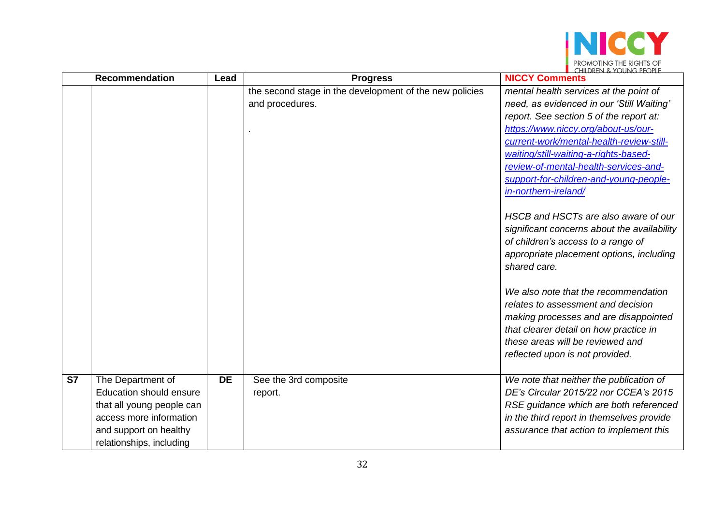

|           | <b>Recommendation</b>                                                                                                                                      | Lead      | <b>Progress</b>                                                            | $\blacksquare$ (FILDREN $\sim$ 1 (JUNG PECPLI<br><b>NICCY Comments</b>                                                                                                                                                                                                                                                                                                                                                                                                                                                                                                                                                                                                                                                                                                                                 |
|-----------|------------------------------------------------------------------------------------------------------------------------------------------------------------|-----------|----------------------------------------------------------------------------|--------------------------------------------------------------------------------------------------------------------------------------------------------------------------------------------------------------------------------------------------------------------------------------------------------------------------------------------------------------------------------------------------------------------------------------------------------------------------------------------------------------------------------------------------------------------------------------------------------------------------------------------------------------------------------------------------------------------------------------------------------------------------------------------------------|
|           |                                                                                                                                                            |           | the second stage in the development of the new policies<br>and procedures. | mental health services at the point of<br>need, as evidenced in our 'Still Waiting'<br>report. See section 5 of the report at:<br>https://www.niccy.org/about-us/our-<br>current-work/mental-health-review-still-<br>waiting/still-waiting-a-rights-based-<br>review-of-mental-health-services-and-<br>support-for-children-and-young-people-<br>in-northern-ireland/<br>HSCB and HSCTs are also aware of our<br>significant concerns about the availability<br>of children's access to a range of<br>appropriate placement options, including<br>shared care.<br>We also note that the recommendation<br>relates to assessment and decision<br>making processes and are disappointed<br>that clearer detail on how practice in<br>these areas will be reviewed and<br>reflected upon is not provided. |
| <b>S7</b> | The Department of<br>Education should ensure<br>that all young people can<br>access more information<br>and support on healthy<br>relationships, including | <b>DE</b> | See the 3rd composite<br>report.                                           | We note that neither the publication of<br>DE's Circular 2015/22 nor CCEA's 2015<br>RSE guidance which are both referenced<br>in the third report in themselves provide<br>assurance that action to implement this                                                                                                                                                                                                                                                                                                                                                                                                                                                                                                                                                                                     |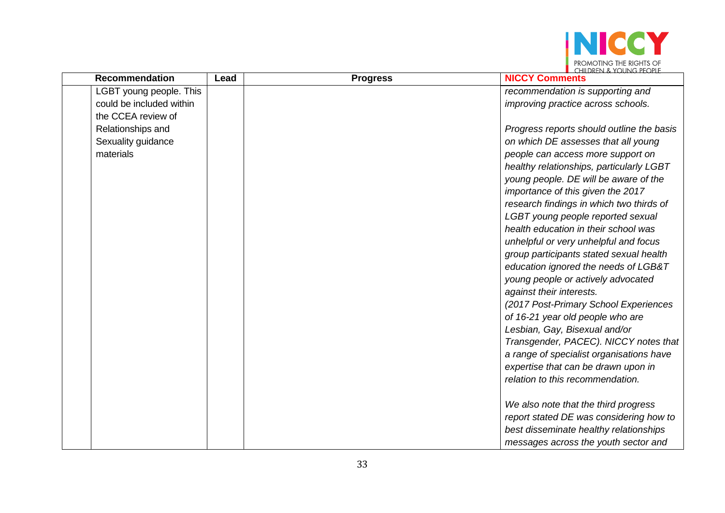

| <b>Recommendation</b>    | Lead | <b>Progress</b> | <b>NICCY Comments</b>                     |
|--------------------------|------|-----------------|-------------------------------------------|
| LGBT young people. This  |      |                 | recommendation is supporting and          |
| could be included within |      |                 | improving practice across schools.        |
| the CCEA review of       |      |                 |                                           |
| Relationships and        |      |                 | Progress reports should outline the basis |
| Sexuality guidance       |      |                 | on which DE assesses that all young       |
| materials                |      |                 | people can access more support on         |
|                          |      |                 | healthy relationships, particularly LGBT  |
|                          |      |                 | young people. DE will be aware of the     |
|                          |      |                 | importance of this given the 2017         |
|                          |      |                 | research findings in which two thirds of  |
|                          |      |                 | LGBT young people reported sexual         |
|                          |      |                 | health education in their school was      |
|                          |      |                 | unhelpful or very unhelpful and focus     |
|                          |      |                 | group participants stated sexual health   |
|                          |      |                 | education ignored the needs of LGB&T      |
|                          |      |                 | young people or actively advocated        |
|                          |      |                 | against their interests.                  |
|                          |      |                 | (2017 Post-Primary School Experiences     |
|                          |      |                 | of 16-21 year old people who are          |
|                          |      |                 | Lesbian, Gay, Bisexual and/or             |
|                          |      |                 | Transgender, PACEC). NICCY notes that     |
|                          |      |                 | a range of specialist organisations have  |
|                          |      |                 | expertise that can be drawn upon in       |
|                          |      |                 | relation to this recommendation.          |
|                          |      |                 |                                           |
|                          |      |                 | We also note that the third progress      |
|                          |      |                 | report stated DE was considering how to   |
|                          |      |                 | best disseminate healthy relationships    |
|                          |      |                 | messages across the youth sector and      |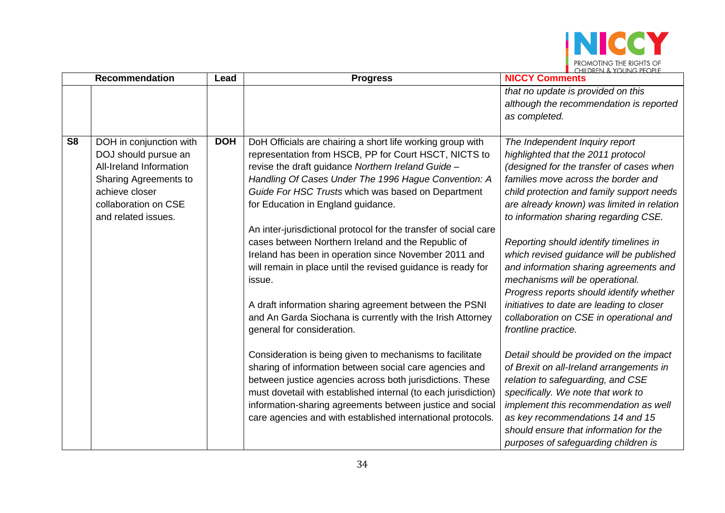

|                | <b>Recommendation</b>                                                                                                                                                | Lead       | <b>Progress</b>                                                                                                                                                                                                                                                                                                                                                                                                                                                                                                                                                                                                                                                                                                                                                                                                                                                                                                                                                                                                                                                                                                                    | $\blacksquare$ (HII) KEN & YOUNG PEOPLE<br><b>NICCY Comments</b>                                                                                                                                                                                                                                                                                                                                                                                                                                                                                                                                                                                                                                                                                                                                                                                                                                                                                           |
|----------------|----------------------------------------------------------------------------------------------------------------------------------------------------------------------|------------|------------------------------------------------------------------------------------------------------------------------------------------------------------------------------------------------------------------------------------------------------------------------------------------------------------------------------------------------------------------------------------------------------------------------------------------------------------------------------------------------------------------------------------------------------------------------------------------------------------------------------------------------------------------------------------------------------------------------------------------------------------------------------------------------------------------------------------------------------------------------------------------------------------------------------------------------------------------------------------------------------------------------------------------------------------------------------------------------------------------------------------|------------------------------------------------------------------------------------------------------------------------------------------------------------------------------------------------------------------------------------------------------------------------------------------------------------------------------------------------------------------------------------------------------------------------------------------------------------------------------------------------------------------------------------------------------------------------------------------------------------------------------------------------------------------------------------------------------------------------------------------------------------------------------------------------------------------------------------------------------------------------------------------------------------------------------------------------------------|
|                |                                                                                                                                                                      |            |                                                                                                                                                                                                                                                                                                                                                                                                                                                                                                                                                                                                                                                                                                                                                                                                                                                                                                                                                                                                                                                                                                                                    | that no update is provided on this<br>although the recommendation is reported                                                                                                                                                                                                                                                                                                                                                                                                                                                                                                                                                                                                                                                                                                                                                                                                                                                                              |
|                |                                                                                                                                                                      |            |                                                                                                                                                                                                                                                                                                                                                                                                                                                                                                                                                                                                                                                                                                                                                                                                                                                                                                                                                                                                                                                                                                                                    | as completed.                                                                                                                                                                                                                                                                                                                                                                                                                                                                                                                                                                                                                                                                                                                                                                                                                                                                                                                                              |
| S <sub>8</sub> | DOH in conjunction with<br>DOJ should pursue an<br>All-Ireland Information<br>Sharing Agreements to<br>achieve closer<br>collaboration on CSE<br>and related issues. | <b>DOH</b> | DoH Officials are chairing a short life working group with<br>representation from HSCB, PP for Court HSCT, NICTS to<br>revise the draft guidance Northern Ireland Guide -<br>Handling Of Cases Under The 1996 Hague Convention: A<br>Guide For HSC Trusts which was based on Department<br>for Education in England guidance.<br>An inter-jurisdictional protocol for the transfer of social care<br>cases between Northern Ireland and the Republic of<br>Ireland has been in operation since November 2011 and<br>will remain in place until the revised guidance is ready for<br>issue.<br>A draft information sharing agreement between the PSNI<br>and An Garda Siochana is currently with the Irish Attorney<br>general for consideration.<br>Consideration is being given to mechanisms to facilitate<br>sharing of information between social care agencies and<br>between justice agencies across both jurisdictions. These<br>must dovetail with established internal (to each jurisdiction)<br>information-sharing agreements between justice and social<br>care agencies and with established international protocols. | The Independent Inquiry report<br>highlighted that the 2011 protocol<br>(designed for the transfer of cases when<br>families move across the border and<br>child protection and family support needs<br>are already known) was limited in relation<br>to information sharing regarding CSE.<br>Reporting should identify timelines in<br>which revised guidance will be published<br>and information sharing agreements and<br>mechanisms will be operational.<br>Progress reports should identify whether<br>initiatives to date are leading to closer<br>collaboration on CSE in operational and<br>frontline practice.<br>Detail should be provided on the impact<br>of Brexit on all-Ireland arrangements in<br>relation to safeguarding, and CSE<br>specifically. We note that work to<br>implement this recommendation as well<br>as key recommendations 14 and 15<br>should ensure that information for the<br>purposes of safeguarding children is |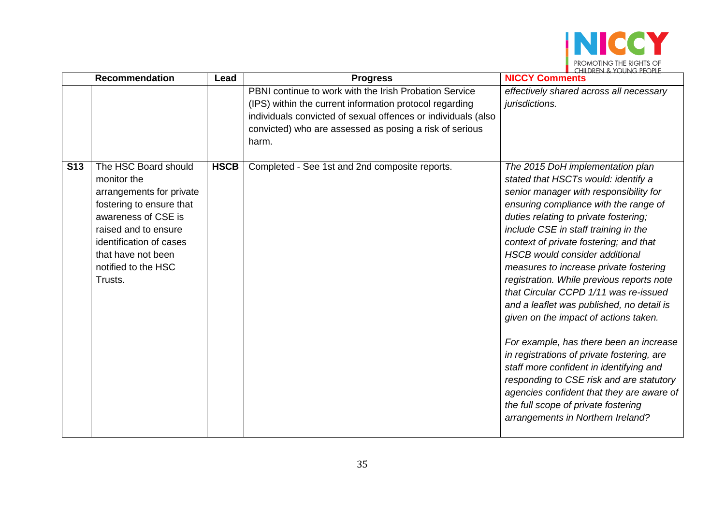

| <b>Recommendation</b>                                                                                                                                                                                                                       | Lead        | <b>Progress</b>                                                                                                                                                                                                                                        | $\blacksquare$ (HIII)REN & YOUNG PEOPLE<br><b>NICCY Comments</b>                                                                                                                                                                                                                                                                                                                                                                                                                                                                                                                                                                                                                                                                                                                                                                                              |
|---------------------------------------------------------------------------------------------------------------------------------------------------------------------------------------------------------------------------------------------|-------------|--------------------------------------------------------------------------------------------------------------------------------------------------------------------------------------------------------------------------------------------------------|---------------------------------------------------------------------------------------------------------------------------------------------------------------------------------------------------------------------------------------------------------------------------------------------------------------------------------------------------------------------------------------------------------------------------------------------------------------------------------------------------------------------------------------------------------------------------------------------------------------------------------------------------------------------------------------------------------------------------------------------------------------------------------------------------------------------------------------------------------------|
|                                                                                                                                                                                                                                             |             | PBNI continue to work with the Irish Probation Service<br>(IPS) within the current information protocol regarding<br>individuals convicted of sexual offences or individuals (also<br>convicted) who are assessed as posing a risk of serious<br>harm. | effectively shared across all necessary<br>jurisdictions.                                                                                                                                                                                                                                                                                                                                                                                                                                                                                                                                                                                                                                                                                                                                                                                                     |
| <b>S13</b><br>The HSC Board should<br>monitor the<br>arrangements for private<br>fostering to ensure that<br>awareness of CSE is<br>raised and to ensure<br>identification of cases<br>that have not been<br>notified to the HSC<br>Trusts. | <b>HSCB</b> | Completed - See 1st and 2nd composite reports.                                                                                                                                                                                                         | The 2015 DoH implementation plan<br>stated that HSCTs would: identify a<br>senior manager with responsibility for<br>ensuring compliance with the range of<br>duties relating to private fostering;<br>include CSE in staff training in the<br>context of private fostering; and that<br><b>HSCB</b> would consider additional<br>measures to increase private fostering<br>registration. While previous reports note<br>that Circular CCPD 1/11 was re-issued<br>and a leaflet was published, no detail is<br>given on the impact of actions taken.<br>For example, has there been an increase<br>in registrations of private fostering, are<br>staff more confident in identifying and<br>responding to CSE risk and are statutory<br>agencies confident that they are aware of<br>the full scope of private fostering<br>arrangements in Northern Ireland? |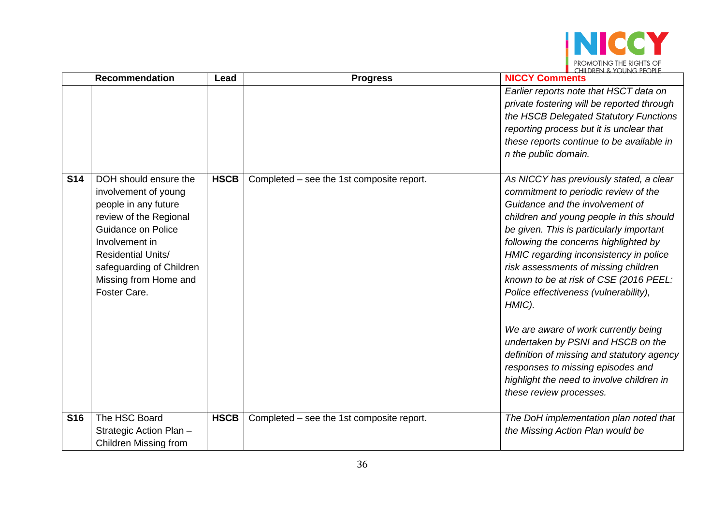

|            | <b>Recommendation</b>                                                                                                                                                                                                                            | Lead        | <b>Progress</b>                           | $\blacksquare$ (FILD KEN $\sim$ 1 (JUNG PEC PLE<br><b>NICCY Comments</b>                                                                                                                                                                                                                                                                                                                                                                                                                                                                                                                                                                         |
|------------|--------------------------------------------------------------------------------------------------------------------------------------------------------------------------------------------------------------------------------------------------|-------------|-------------------------------------------|--------------------------------------------------------------------------------------------------------------------------------------------------------------------------------------------------------------------------------------------------------------------------------------------------------------------------------------------------------------------------------------------------------------------------------------------------------------------------------------------------------------------------------------------------------------------------------------------------------------------------------------------------|
|            |                                                                                                                                                                                                                                                  |             |                                           | Earlier reports note that HSCT data on<br>private fostering will be reported through<br>the HSCB Delegated Statutory Functions<br>reporting process but it is unclear that<br>these reports continue to be available in<br>n the public domain.                                                                                                                                                                                                                                                                                                                                                                                                  |
| <b>S14</b> | DOH should ensure the<br>involvement of young<br>people in any future<br>review of the Regional<br><b>Guidance on Police</b><br>Involvement in<br><b>Residential Units/</b><br>safeguarding of Children<br>Missing from Home and<br>Foster Care. | <b>HSCB</b> | Completed – see the 1st composite report. | As NICCY has previously stated, a clear<br>commitment to periodic review of the<br>Guidance and the involvement of<br>children and young people in this should<br>be given. This is particularly important<br>following the concerns highlighted by<br>HMIC regarding inconsistency in police<br>risk assessments of missing children<br>known to be at risk of CSE (2016 PEEL:<br>Police effectiveness (vulnerability),<br>HMIC).<br>We are aware of work currently being<br>undertaken by PSNI and HSCB on the<br>definition of missing and statutory agency<br>responses to missing episodes and<br>highlight the need to involve children in |
| <b>S16</b> | The HSC Board                                                                                                                                                                                                                                    | <b>HSCB</b> | Completed – see the 1st composite report. | these review processes.<br>The DoH implementation plan noted that                                                                                                                                                                                                                                                                                                                                                                                                                                                                                                                                                                                |
|            | Strategic Action Plan -                                                                                                                                                                                                                          |             |                                           | the Missing Action Plan would be                                                                                                                                                                                                                                                                                                                                                                                                                                                                                                                                                                                                                 |
|            | <b>Children Missing from</b>                                                                                                                                                                                                                     |             |                                           |                                                                                                                                                                                                                                                                                                                                                                                                                                                                                                                                                                                                                                                  |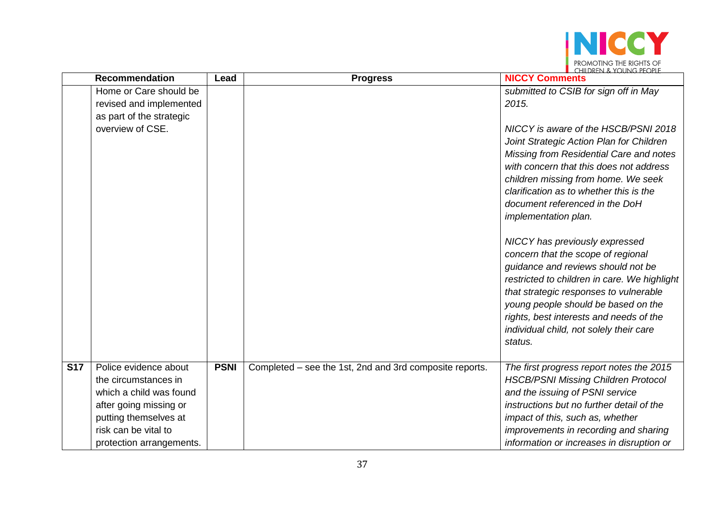

|            | <b>Recommendation</b>    | Lead        | <b>Progress</b>                                         | <u>Le Chilliken &amp; Young People</u><br><b>NICCY Comments</b>                                                                                                                                                                                                                                                                                                                                                                                                                                                                                                                                                                                                    |
|------------|--------------------------|-------------|---------------------------------------------------------|--------------------------------------------------------------------------------------------------------------------------------------------------------------------------------------------------------------------------------------------------------------------------------------------------------------------------------------------------------------------------------------------------------------------------------------------------------------------------------------------------------------------------------------------------------------------------------------------------------------------------------------------------------------------|
|            | Home or Care should be   |             |                                                         | submitted to CSIB for sign off in May                                                                                                                                                                                                                                                                                                                                                                                                                                                                                                                                                                                                                              |
|            | revised and implemented  |             |                                                         | 2015.                                                                                                                                                                                                                                                                                                                                                                                                                                                                                                                                                                                                                                                              |
|            | as part of the strategic |             |                                                         |                                                                                                                                                                                                                                                                                                                                                                                                                                                                                                                                                                                                                                                                    |
|            | overview of CSE.         |             |                                                         | NICCY is aware of the HSCB/PSNI 2018<br>Joint Strategic Action Plan for Children<br>Missing from Residential Care and notes<br>with concern that this does not address<br>children missing from home. We seek<br>clarification as to whether this is the<br>document referenced in the DoH<br>implementation plan.<br>NICCY has previously expressed<br>concern that the scope of regional<br>guidance and reviews should not be<br>restricted to children in care. We highlight<br>that strategic responses to vulnerable<br>young people should be based on the<br>rights, best interests and needs of the<br>individual child, not solely their care<br>status. |
| <b>S17</b> | Police evidence about    | <b>PSNI</b> | Completed – see the 1st, 2nd and 3rd composite reports. | The first progress report notes the 2015                                                                                                                                                                                                                                                                                                                                                                                                                                                                                                                                                                                                                           |
|            | the circumstances in     |             |                                                         | <b>HSCB/PSNI Missing Children Protocol</b>                                                                                                                                                                                                                                                                                                                                                                                                                                                                                                                                                                                                                         |
|            | which a child was found  |             |                                                         | and the issuing of PSNI service                                                                                                                                                                                                                                                                                                                                                                                                                                                                                                                                                                                                                                    |
|            | after going missing or   |             |                                                         | instructions but no further detail of the                                                                                                                                                                                                                                                                                                                                                                                                                                                                                                                                                                                                                          |
|            | putting themselves at    |             |                                                         | impact of this, such as, whether                                                                                                                                                                                                                                                                                                                                                                                                                                                                                                                                                                                                                                   |
|            | risk can be vital to     |             |                                                         | improvements in recording and sharing                                                                                                                                                                                                                                                                                                                                                                                                                                                                                                                                                                                                                              |
|            | protection arrangements. |             |                                                         | information or increases in disruption or                                                                                                                                                                                                                                                                                                                                                                                                                                                                                                                                                                                                                          |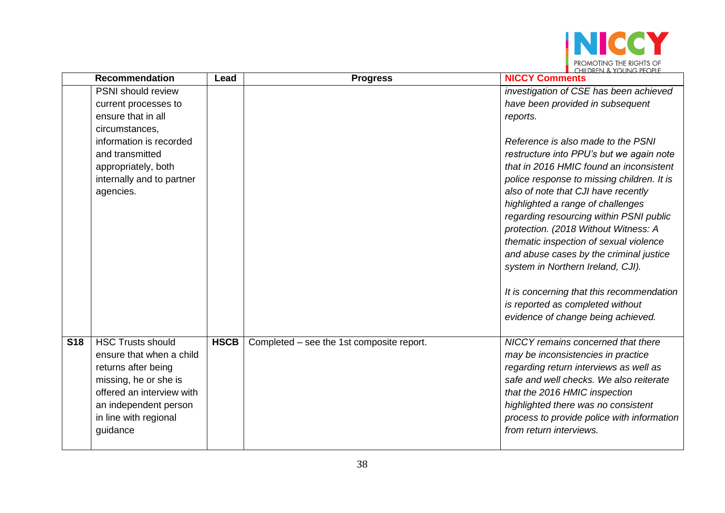

|            | <b>Recommendation</b>     | Lead        | <b>Progress</b>                           | <u>Le Children &amp; Young People</u><br><b>NICCY Comments</b>                    |
|------------|---------------------------|-------------|-------------------------------------------|-----------------------------------------------------------------------------------|
|            | PSNI should review        |             |                                           | investigation of CSE has been achieved                                            |
|            | current processes to      |             |                                           | have been provided in subsequent                                                  |
|            | ensure that in all        |             |                                           | reports.                                                                          |
|            | circumstances,            |             |                                           |                                                                                   |
|            | information is recorded   |             |                                           | Reference is also made to the PSNI                                                |
|            | and transmitted           |             |                                           | restructure into PPU's but we again note                                          |
|            | appropriately, both       |             |                                           | that in 2016 HMIC found an inconsistent                                           |
|            | internally and to partner |             |                                           | police response to missing children. It is                                        |
|            | agencies.                 |             |                                           | also of note that CJI have recently                                               |
|            |                           |             |                                           | highlighted a range of challenges                                                 |
|            |                           |             |                                           | regarding resourcing within PSNI public                                           |
|            |                           |             |                                           | protection. (2018 Without Witness: A                                              |
|            |                           |             |                                           | thematic inspection of sexual violence<br>and abuse cases by the criminal justice |
|            |                           |             |                                           | system in Northern Ireland, CJI).                                                 |
|            |                           |             |                                           |                                                                                   |
|            |                           |             |                                           | It is concerning that this recommendation                                         |
|            |                           |             |                                           | is reported as completed without                                                  |
|            |                           |             |                                           | evidence of change being achieved.                                                |
|            |                           |             |                                           |                                                                                   |
| <b>S18</b> | <b>HSC Trusts should</b>  | <b>HSCB</b> | Completed - see the 1st composite report. | NICCY remains concerned that there                                                |
|            | ensure that when a child  |             |                                           | may be inconsistencies in practice                                                |
|            | returns after being       |             |                                           | regarding return interviews as well as                                            |
|            | missing, he or she is     |             |                                           | safe and well checks. We also reiterate                                           |
|            | offered an interview with |             |                                           | that the 2016 HMIC inspection                                                     |
|            | an independent person     |             |                                           | highlighted there was no consistent                                               |
|            | in line with regional     |             |                                           | process to provide police with information                                        |
|            | guidance                  |             |                                           | from return interviews.                                                           |
|            |                           |             |                                           |                                                                                   |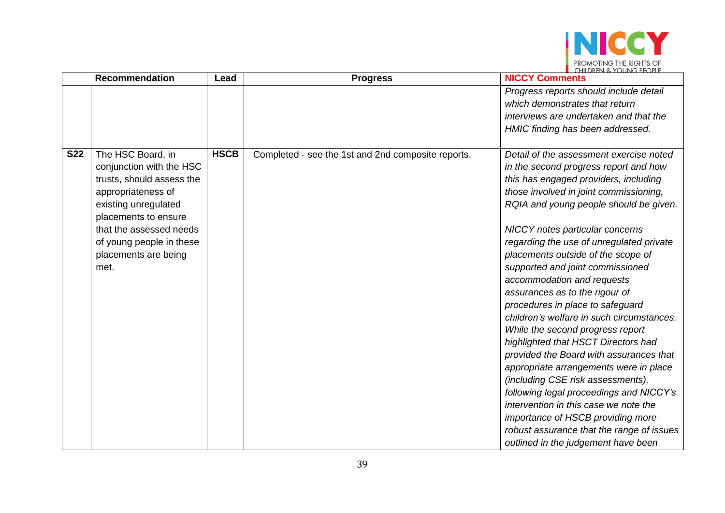

|            | Recommendation                                                                                                                                                                                                                          | Lead        | <b>Progress</b>                                    | <u>Le Chilliken &amp; Young People</u><br><b>NICCY Comments</b>                                                                                                                                                                                                                                                                                                                                                                                                                                                                                                                                                                                                                                                                                                                                                                                                                                                                                  |
|------------|-----------------------------------------------------------------------------------------------------------------------------------------------------------------------------------------------------------------------------------------|-------------|----------------------------------------------------|--------------------------------------------------------------------------------------------------------------------------------------------------------------------------------------------------------------------------------------------------------------------------------------------------------------------------------------------------------------------------------------------------------------------------------------------------------------------------------------------------------------------------------------------------------------------------------------------------------------------------------------------------------------------------------------------------------------------------------------------------------------------------------------------------------------------------------------------------------------------------------------------------------------------------------------------------|
|            |                                                                                                                                                                                                                                         |             |                                                    | Progress reports should include detail<br>which demonstrates that return<br>interviews are undertaken and that the<br>HMIC finding has been addressed.                                                                                                                                                                                                                                                                                                                                                                                                                                                                                                                                                                                                                                                                                                                                                                                           |
| <b>S22</b> | The HSC Board, in<br>conjunction with the HSC<br>trusts, should assess the<br>appropriateness of<br>existing unregulated<br>placements to ensure<br>that the assessed needs<br>of young people in these<br>placements are being<br>met. | <b>HSCB</b> | Completed - see the 1st and 2nd composite reports. | Detail of the assessment exercise noted<br>in the second progress report and how<br>this has engaged providers, including<br>those involved in joint commissioning,<br>RQIA and young people should be given.<br><b>NICCY</b> notes particular concerns<br>regarding the use of unregulated private<br>placements outside of the scope of<br>supported and joint commissioned<br>accommodation and requests<br>assurances as to the rigour of<br>procedures in place to safeguard<br>children's welfare in such circumstances.<br>While the second progress report<br>highlighted that HSCT Directors had<br>provided the Board with assurances that<br>appropriate arrangements were in place<br>(including CSE risk assessments),<br>following legal proceedings and NICCY's<br>intervention in this case we note the<br>importance of HSCB providing more<br>robust assurance that the range of issues<br>outlined in the judgement have been |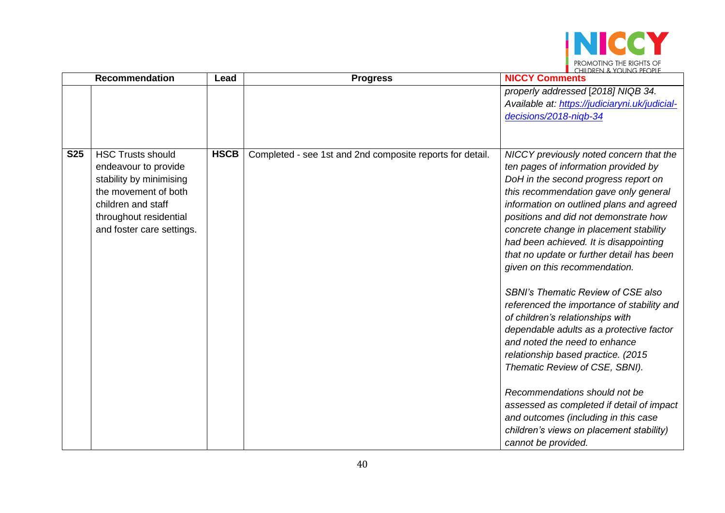

|            | <b>Recommendation</b>                                                                                                                                                            | Lead        | <b>Progress</b>                                           | $\blacksquare$ (HII)REN & YOUNG PEOPLE<br><b>NICCY Comments</b>                                                                                                                                                                                                                                                                                                                                                                                                                                                                                                                                                                                                                                                                                                                                                                                                                                      |
|------------|----------------------------------------------------------------------------------------------------------------------------------------------------------------------------------|-------------|-----------------------------------------------------------|------------------------------------------------------------------------------------------------------------------------------------------------------------------------------------------------------------------------------------------------------------------------------------------------------------------------------------------------------------------------------------------------------------------------------------------------------------------------------------------------------------------------------------------------------------------------------------------------------------------------------------------------------------------------------------------------------------------------------------------------------------------------------------------------------------------------------------------------------------------------------------------------------|
|            |                                                                                                                                                                                  |             |                                                           | properly addressed [2018] NIQB 34.<br>Available at: https://judiciaryni.uk/judicial-<br>decisions/2018-nigb-34                                                                                                                                                                                                                                                                                                                                                                                                                                                                                                                                                                                                                                                                                                                                                                                       |
| <b>S25</b> | <b>HSC Trusts should</b><br>endeavour to provide<br>stability by minimising<br>the movement of both<br>children and staff<br>throughout residential<br>and foster care settings. | <b>HSCB</b> | Completed - see 1st and 2nd composite reports for detail. | NICCY previously noted concern that the<br>ten pages of information provided by<br>DoH in the second progress report on<br>this recommendation gave only general<br>information on outlined plans and agreed<br>positions and did not demonstrate how<br>concrete change in placement stability<br>had been achieved. It is disappointing<br>that no update or further detail has been<br>given on this recommendation.<br><b>SBNI's Thematic Review of CSE also</b><br>referenced the importance of stability and<br>of children's relationships with<br>dependable adults as a protective factor<br>and noted the need to enhance<br>relationship based practice. (2015<br>Thematic Review of CSE, SBNI).<br>Recommendations should not be<br>assessed as completed if detail of impact<br>and outcomes (including in this case<br>children's views on placement stability)<br>cannot be provided. |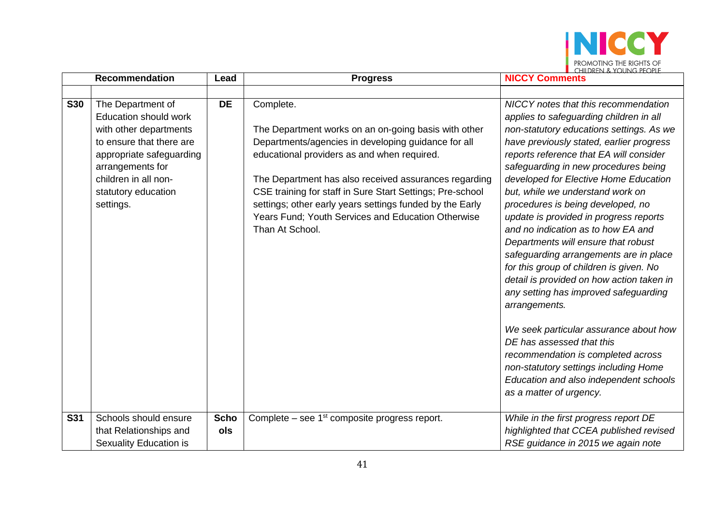

|            | <b>Recommendation</b>                                                                                                                                                                                               |                    | <b>Progress</b>                                                                                                                                                                                                                                                                                                                                                                                                                    | <b>NICCY Comments</b>                                                                                                                                                                                                                                                                                                                                                                                                                                                                                                                                                                                                                                                                                                                                                                                                                                                                           |
|------------|---------------------------------------------------------------------------------------------------------------------------------------------------------------------------------------------------------------------|--------------------|------------------------------------------------------------------------------------------------------------------------------------------------------------------------------------------------------------------------------------------------------------------------------------------------------------------------------------------------------------------------------------------------------------------------------------|-------------------------------------------------------------------------------------------------------------------------------------------------------------------------------------------------------------------------------------------------------------------------------------------------------------------------------------------------------------------------------------------------------------------------------------------------------------------------------------------------------------------------------------------------------------------------------------------------------------------------------------------------------------------------------------------------------------------------------------------------------------------------------------------------------------------------------------------------------------------------------------------------|
|            |                                                                                                                                                                                                                     |                    |                                                                                                                                                                                                                                                                                                                                                                                                                                    |                                                                                                                                                                                                                                                                                                                                                                                                                                                                                                                                                                                                                                                                                                                                                                                                                                                                                                 |
| <b>S30</b> | The Department of<br><b>Education should work</b><br>with other departments<br>to ensure that there are<br>appropriate safeguarding<br>arrangements for<br>children in all non-<br>statutory education<br>settings. | <b>DE</b>          | Complete.<br>The Department works on an on-going basis with other<br>Departments/agencies in developing guidance for all<br>educational providers as and when required.<br>The Department has also received assurances regarding<br>CSE training for staff in Sure Start Settings; Pre-school<br>settings; other early years settings funded by the Early<br>Years Fund; Youth Services and Education Otherwise<br>Than At School. | NICCY notes that this recommendation<br>applies to safeguarding children in all<br>non-statutory educations settings. As we<br>have previously stated, earlier progress<br>reports reference that EA will consider<br>safeguarding in new procedures being<br>developed for Elective Home Education<br>but, while we understand work on<br>procedures is being developed, no<br>update is provided in progress reports<br>and no indication as to how EA and<br>Departments will ensure that robust<br>safeguarding arrangements are in place<br>for this group of children is given. No<br>detail is provided on how action taken in<br>any setting has improved safeguarding<br>arrangements.<br>We seek particular assurance about how<br>DE has assessed that this<br>recommendation is completed across<br>non-statutory settings including Home<br>Education and also independent schools |
|            |                                                                                                                                                                                                                     |                    |                                                                                                                                                                                                                                                                                                                                                                                                                                    | as a matter of urgency.                                                                                                                                                                                                                                                                                                                                                                                                                                                                                                                                                                                                                                                                                                                                                                                                                                                                         |
| <b>S31</b> | Schools should ensure<br>that Relationships and<br>Sexuality Education is                                                                                                                                           | <b>Scho</b><br>ols | Complete – see $1st$ composite progress report.                                                                                                                                                                                                                                                                                                                                                                                    | While in the first progress report DE<br>highlighted that CCEA published revised<br>RSE guidance in 2015 we again note                                                                                                                                                                                                                                                                                                                                                                                                                                                                                                                                                                                                                                                                                                                                                                          |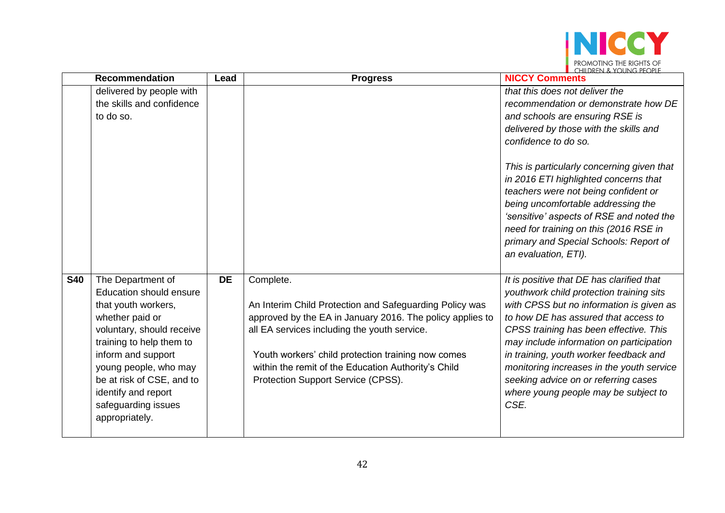

|            | <b>Recommendation</b>                                                                                                                                                                                                                                                                              | Lead      | <b>Progress</b>                                                                                                                                                                                                                                                                                                                      | <u>LEILLIKEN A YULING PEUPLE</u><br><b>NICCY Comments</b>                                                                                                                                                                                                                                                                                                                                                                                      |
|------------|----------------------------------------------------------------------------------------------------------------------------------------------------------------------------------------------------------------------------------------------------------------------------------------------------|-----------|--------------------------------------------------------------------------------------------------------------------------------------------------------------------------------------------------------------------------------------------------------------------------------------------------------------------------------------|------------------------------------------------------------------------------------------------------------------------------------------------------------------------------------------------------------------------------------------------------------------------------------------------------------------------------------------------------------------------------------------------------------------------------------------------|
|            | delivered by people with<br>the skills and confidence<br>to do so.                                                                                                                                                                                                                                 |           |                                                                                                                                                                                                                                                                                                                                      | that this does not deliver the<br>recommendation or demonstrate how DE<br>and schools are ensuring RSE is<br>delivered by those with the skills and<br>confidence to do so.                                                                                                                                                                                                                                                                    |
|            |                                                                                                                                                                                                                                                                                                    |           |                                                                                                                                                                                                                                                                                                                                      | This is particularly concerning given that<br>in 2016 ETI highlighted concerns that<br>teachers were not being confident or<br>being uncomfortable addressing the<br>'sensitive' aspects of RSE and noted the<br>need for training on this (2016 RSE in<br>primary and Special Schools: Report of<br>an evaluation, ETI).                                                                                                                      |
| <b>S40</b> | The Department of<br><b>Education should ensure</b><br>that youth workers,<br>whether paid or<br>voluntary, should receive<br>training to help them to<br>inform and support<br>young people, who may<br>be at risk of CSE, and to<br>identify and report<br>safeguarding issues<br>appropriately. | <b>DE</b> | Complete.<br>An Interim Child Protection and Safeguarding Policy was<br>approved by the EA in January 2016. The policy applies to<br>all EA services including the youth service.<br>Youth workers' child protection training now comes<br>within the remit of the Education Authority's Child<br>Protection Support Service (CPSS). | It is positive that DE has clarified that<br>youthwork child protection training sits<br>with CPSS but no information is given as<br>to how DE has assured that access to<br>CPSS training has been effective. This<br>may include information on participation<br>in training, youth worker feedback and<br>monitoring increases in the youth service<br>seeking advice on or referring cases<br>where young people may be subject to<br>CSE. |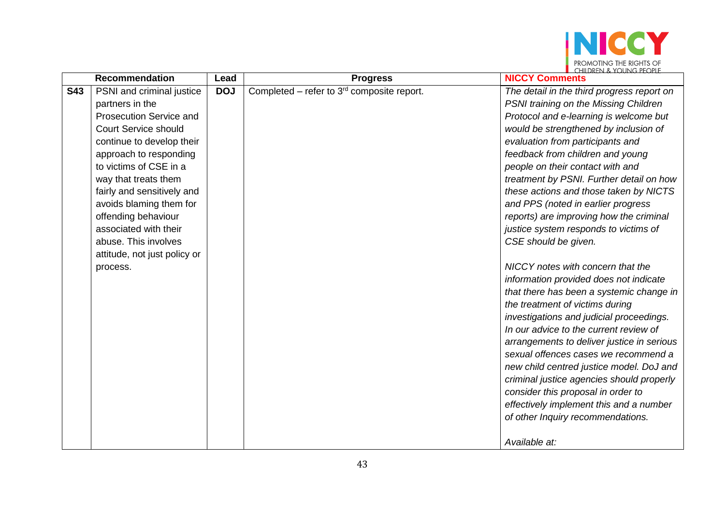

|            | <b>Recommendation</b>        | Lead       | <b>Progress</b>                                 | <b>NICCY Comments</b>                      |
|------------|------------------------------|------------|-------------------------------------------------|--------------------------------------------|
| <b>S43</b> | PSNI and criminal justice    | <b>DOJ</b> | Completed – refer to $3^{rd}$ composite report. | The detail in the third progress report on |
|            | partners in the              |            |                                                 | PSNI training on the Missing Children      |
|            | Prosecution Service and      |            |                                                 | Protocol and e-learning is welcome but     |
|            | <b>Court Service should</b>  |            |                                                 | would be strengthened by inclusion of      |
|            | continue to develop their    |            |                                                 | evaluation from participants and           |
|            | approach to responding       |            |                                                 | feedback from children and young           |
|            | to victims of CSE in a       |            |                                                 | people on their contact with and           |
|            | way that treats them         |            |                                                 | treatment by PSNI. Further detail on how   |
|            | fairly and sensitively and   |            |                                                 | these actions and those taken by NICTS     |
|            | avoids blaming them for      |            |                                                 | and PPS (noted in earlier progress         |
|            | offending behaviour          |            |                                                 | reports) are improving how the criminal    |
|            | associated with their        |            |                                                 | justice system responds to victims of      |
|            | abuse. This involves         |            |                                                 | CSE should be given.                       |
|            | attitude, not just policy or |            |                                                 |                                            |
|            | process.                     |            |                                                 | NICCY notes with concern that the          |
|            |                              |            |                                                 | information provided does not indicate     |
|            |                              |            |                                                 | that there has been a systemic change in   |
|            |                              |            |                                                 | the treatment of victims during            |
|            |                              |            |                                                 | investigations and judicial proceedings.   |
|            |                              |            |                                                 | In our advice to the current review of     |
|            |                              |            |                                                 | arrangements to deliver justice in serious |
|            |                              |            |                                                 | sexual offences cases we recommend a       |
|            |                              |            |                                                 | new child centred justice model. DoJ and   |
|            |                              |            |                                                 | criminal justice agencies should properly  |
|            |                              |            |                                                 | consider this proposal in order to         |
|            |                              |            |                                                 | effectively implement this and a number    |
|            |                              |            |                                                 | of other Inquiry recommendations.          |
|            |                              |            |                                                 |                                            |
|            |                              |            |                                                 | Available at:                              |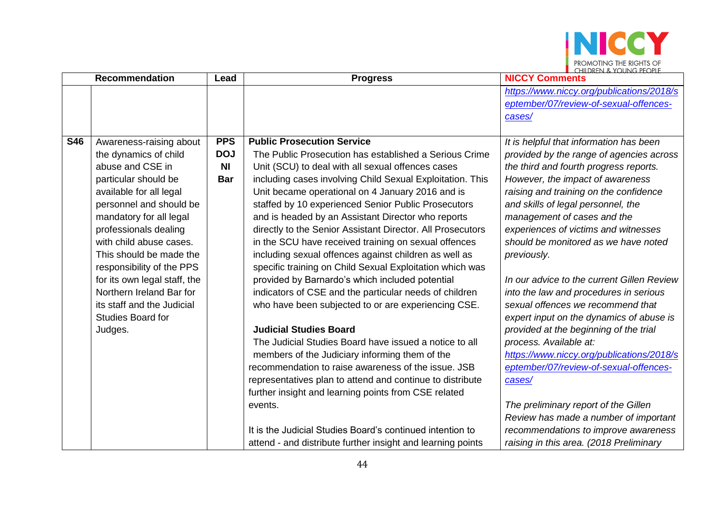

|            | <b>Recommendation</b>        | Lead           | <b>Progress</b>                                             | $\blacksquare$ (HIII)REN & YOUNG PEOPLE<br><b>NICCY Comments</b> |
|------------|------------------------------|----------------|-------------------------------------------------------------|------------------------------------------------------------------|
|            |                              |                |                                                             | https://www.niccy.org/publications/2018/s                        |
|            |                              |                |                                                             | eptember/07/review-of-sexual-offences-                           |
|            |                              |                |                                                             | cases/                                                           |
|            |                              |                |                                                             |                                                                  |
| <b>S46</b> | Awareness-raising about      | <b>PPS</b>     | <b>Public Prosecution Service</b>                           | It is helpful that information has been                          |
|            | the dynamics of child        | <b>DOJ</b>     | The Public Prosecution has established a Serious Crime      | provided by the range of agencies across                         |
|            | abuse and CSE in             | N <sub>l</sub> | Unit (SCU) to deal with all sexual offences cases           | the third and fourth progress reports.                           |
|            | particular should be         | <b>Bar</b>     | including cases involving Child Sexual Exploitation. This   | However, the impact of awareness                                 |
|            | available for all legal      |                | Unit became operational on 4 January 2016 and is            | raising and training on the confidence                           |
|            | personnel and should be      |                | staffed by 10 experienced Senior Public Prosecutors         | and skills of legal personnel, the                               |
|            | mandatory for all legal      |                | and is headed by an Assistant Director who reports          | management of cases and the                                      |
|            | professionals dealing        |                | directly to the Senior Assistant Director. All Prosecutors  | experiences of victims and witnesses                             |
|            | with child abuse cases.      |                | in the SCU have received training on sexual offences        | should be monitored as we have noted                             |
|            | This should be made the      |                | including sexual offences against children as well as       | previously.                                                      |
|            | responsibility of the PPS    |                | specific training on Child Sexual Exploitation which was    |                                                                  |
|            | for its own legal staff, the |                | provided by Barnardo's which included potential             | In our advice to the current Gillen Review                       |
|            | Northern Ireland Bar for     |                | indicators of CSE and the particular needs of children      | into the law and procedures in serious                           |
|            | its staff and the Judicial   |                | who have been subjected to or are experiencing CSE.         | sexual offences we recommend that                                |
|            | <b>Studies Board for</b>     |                |                                                             | expert input on the dynamics of abuse is                         |
|            | Judges.                      |                | <b>Judicial Studies Board</b>                               | provided at the beginning of the trial                           |
|            |                              |                | The Judicial Studies Board have issued a notice to all      | process. Available at:                                           |
|            |                              |                | members of the Judiciary informing them of the              | https://www.niccy.org/publications/2018/s                        |
|            |                              |                | recommendation to raise awareness of the issue. JSB         | eptember/07/review-of-sexual-offences-                           |
|            |                              |                | representatives plan to attend and continue to distribute   | cases/                                                           |
|            |                              |                | further insight and learning points from CSE related        |                                                                  |
|            |                              |                | events.                                                     | The preliminary report of the Gillen                             |
|            |                              |                |                                                             | Review has made a number of important                            |
|            |                              |                | It is the Judicial Studies Board's continued intention to   | recommendations to improve awareness                             |
|            |                              |                | attend - and distribute further insight and learning points | raising in this area. (2018 Preliminary                          |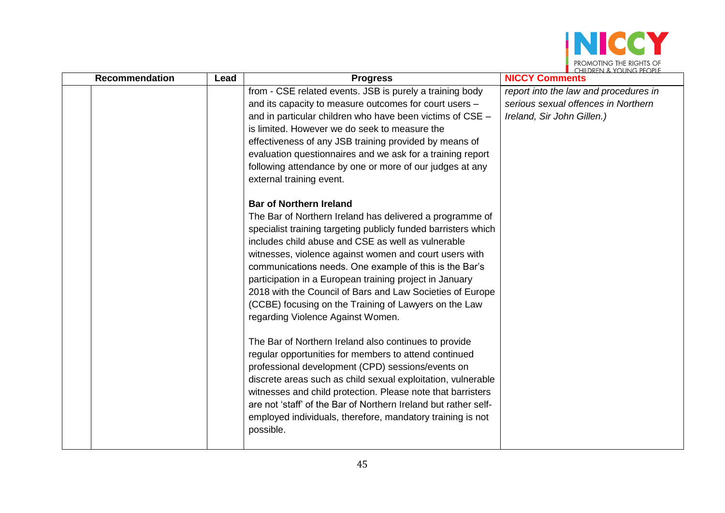

| <b>Recommendation</b> | Lead | <b>Progress</b>                                                                                                                                                                                                                                                                                                                                                                                                                                                                                                                                                                                                                                                                                                                                                                                                                                                                                                                                                                                                  | $\blacksquare$ (FILIZKEN & TUUNG PEUPL<br><b>NICCY Comments</b>                                            |
|-----------------------|------|------------------------------------------------------------------------------------------------------------------------------------------------------------------------------------------------------------------------------------------------------------------------------------------------------------------------------------------------------------------------------------------------------------------------------------------------------------------------------------------------------------------------------------------------------------------------------------------------------------------------------------------------------------------------------------------------------------------------------------------------------------------------------------------------------------------------------------------------------------------------------------------------------------------------------------------------------------------------------------------------------------------|------------------------------------------------------------------------------------------------------------|
|                       |      | from - CSE related events. JSB is purely a training body<br>and its capacity to measure outcomes for court users -<br>and in particular children who have been victims of CSE -<br>is limited. However we do seek to measure the<br>effectiveness of any JSB training provided by means of<br>evaluation questionnaires and we ask for a training report<br>following attendance by one or more of our judges at any<br>external training event.                                                                                                                                                                                                                                                                                                                                                                                                                                                                                                                                                                 | report into the law and procedures in<br>serious sexual offences in Northern<br>Ireland, Sir John Gillen.) |
|                       |      | <b>Bar of Northern Ireland</b><br>The Bar of Northern Ireland has delivered a programme of<br>specialist training targeting publicly funded barristers which<br>includes child abuse and CSE as well as vulnerable<br>witnesses, violence against women and court users with<br>communications needs. One example of this is the Bar's<br>participation in a European training project in January<br>2018 with the Council of Bars and Law Societies of Europe<br>(CCBE) focusing on the Training of Lawyers on the Law<br>regarding Violence Against Women.<br>The Bar of Northern Ireland also continues to provide<br>regular opportunities for members to attend continued<br>professional development (CPD) sessions/events on<br>discrete areas such as child sexual exploitation, vulnerable<br>witnesses and child protection. Please note that barristers<br>are not 'staff' of the Bar of Northern Ireland but rather self-<br>employed individuals, therefore, mandatory training is not<br>possible. |                                                                                                            |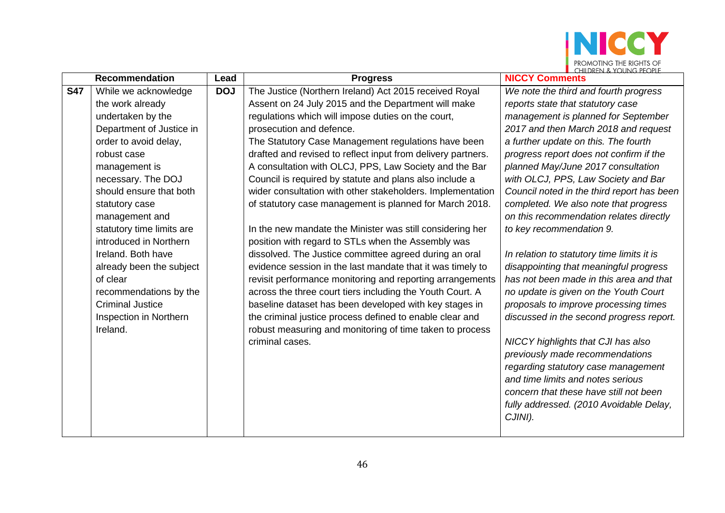

|            | <b>Recommendation</b>     | Lead       | <b>Progress</b>                                              | $\blacksquare$ $\blacksquare$ $\blacksquare$ $\blacksquare$ $\blacksquare$ $\blacksquare$ $\blacksquare$ $\blacksquare$ $\blacksquare$ $\blacksquare$ $\blacksquare$ $\blacksquare$ $\blacksquare$ $\blacksquare$ $\blacksquare$ $\blacksquare$ $\blacksquare$ $\blacksquare$ $\blacksquare$ $\blacksquare$ $\blacksquare$ $\blacksquare$ $\blacksquare$ $\blacksquare$ $\blacksquare$ $\blacksquare$ $\blacksquare$ $\blacksquare$ $\blacksquare$ $\blacksquare$ $\blacksquare$ $\blacks$<br><b>NICCY Comments</b> |
|------------|---------------------------|------------|--------------------------------------------------------------|---------------------------------------------------------------------------------------------------------------------------------------------------------------------------------------------------------------------------------------------------------------------------------------------------------------------------------------------------------------------------------------------------------------------------------------------------------------------------------------------------------------------|
| <b>S47</b> | While we acknowledge      | <b>DOJ</b> | The Justice (Northern Ireland) Act 2015 received Royal       | We note the third and fourth progress                                                                                                                                                                                                                                                                                                                                                                                                                                                                               |
|            | the work already          |            | Assent on 24 July 2015 and the Department will make          | reports state that statutory case                                                                                                                                                                                                                                                                                                                                                                                                                                                                                   |
|            | undertaken by the         |            | regulations which will impose duties on the court,           | management is planned for September                                                                                                                                                                                                                                                                                                                                                                                                                                                                                 |
|            | Department of Justice in  |            | prosecution and defence.                                     | 2017 and then March 2018 and request                                                                                                                                                                                                                                                                                                                                                                                                                                                                                |
|            | order to avoid delay,     |            | The Statutory Case Management regulations have been          | a further update on this. The fourth                                                                                                                                                                                                                                                                                                                                                                                                                                                                                |
|            | robust case               |            | drafted and revised to reflect input from delivery partners. | progress report does not confirm if the                                                                                                                                                                                                                                                                                                                                                                                                                                                                             |
|            | management is             |            | A consultation with OLCJ, PPS, Law Society and the Bar       | planned May/June 2017 consultation                                                                                                                                                                                                                                                                                                                                                                                                                                                                                  |
|            | necessary. The DOJ        |            | Council is required by statute and plans also include a      | with OLCJ, PPS, Law Society and Bar                                                                                                                                                                                                                                                                                                                                                                                                                                                                                 |
|            | should ensure that both   |            | wider consultation with other stakeholders. Implementation   | Council noted in the third report has been                                                                                                                                                                                                                                                                                                                                                                                                                                                                          |
|            | statutory case            |            | of statutory case management is planned for March 2018.      | completed. We also note that progress                                                                                                                                                                                                                                                                                                                                                                                                                                                                               |
|            | management and            |            |                                                              | on this recommendation relates directly                                                                                                                                                                                                                                                                                                                                                                                                                                                                             |
|            | statutory time limits are |            | In the new mandate the Minister was still considering her    | to key recommendation 9.                                                                                                                                                                                                                                                                                                                                                                                                                                                                                            |
|            | introduced in Northern    |            | position with regard to STLs when the Assembly was           |                                                                                                                                                                                                                                                                                                                                                                                                                                                                                                                     |
|            | Ireland. Both have        |            | dissolved. The Justice committee agreed during an oral       | In relation to statutory time limits it is                                                                                                                                                                                                                                                                                                                                                                                                                                                                          |
|            | already been the subject  |            | evidence session in the last mandate that it was timely to   | disappointing that meaningful progress                                                                                                                                                                                                                                                                                                                                                                                                                                                                              |
|            | of clear                  |            | revisit performance monitoring and reporting arrangements    | has not been made in this area and that                                                                                                                                                                                                                                                                                                                                                                                                                                                                             |
|            | recommendations by the    |            | across the three court tiers including the Youth Court. A    | no update is given on the Youth Court                                                                                                                                                                                                                                                                                                                                                                                                                                                                               |
|            | <b>Criminal Justice</b>   |            | baseline dataset has been developed with key stages in       | proposals to improve processing times                                                                                                                                                                                                                                                                                                                                                                                                                                                                               |
|            | Inspection in Northern    |            | the criminal justice process defined to enable clear and     | discussed in the second progress report.                                                                                                                                                                                                                                                                                                                                                                                                                                                                            |
|            | Ireland.                  |            | robust measuring and monitoring of time taken to process     |                                                                                                                                                                                                                                                                                                                                                                                                                                                                                                                     |
|            |                           |            | criminal cases.                                              | NICCY highlights that CJI has also                                                                                                                                                                                                                                                                                                                                                                                                                                                                                  |
|            |                           |            |                                                              | previously made recommendations                                                                                                                                                                                                                                                                                                                                                                                                                                                                                     |
|            |                           |            |                                                              | regarding statutory case management                                                                                                                                                                                                                                                                                                                                                                                                                                                                                 |
|            |                           |            |                                                              | and time limits and notes serious                                                                                                                                                                                                                                                                                                                                                                                                                                                                                   |
|            |                           |            |                                                              | concern that these have still not been                                                                                                                                                                                                                                                                                                                                                                                                                                                                              |
|            |                           |            |                                                              | fully addressed. (2010 Avoidable Delay,                                                                                                                                                                                                                                                                                                                                                                                                                                                                             |
|            |                           |            |                                                              | CJINI).                                                                                                                                                                                                                                                                                                                                                                                                                                                                                                             |
|            |                           |            |                                                              |                                                                                                                                                                                                                                                                                                                                                                                                                                                                                                                     |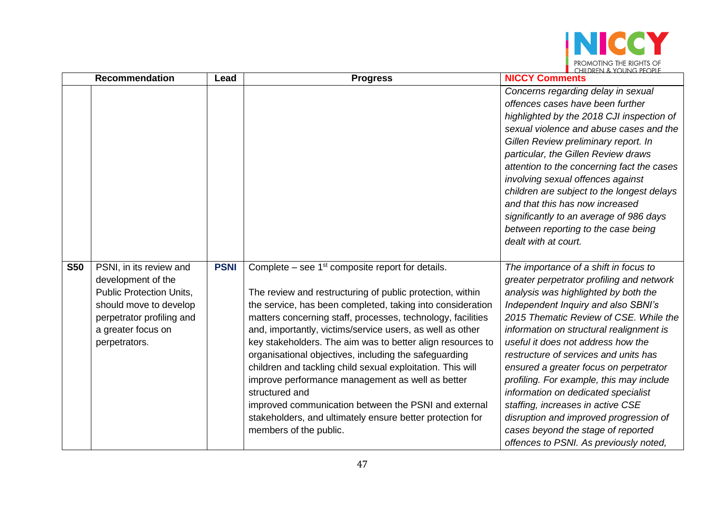

|            | <b>Recommendation</b>                                                                                                                                                          | Lead        | <b>Progress</b>                                                                                                                                                                                                                                                                                                                                                                                                                                                                                                                                                                                                                                                                                                     | <b>NICCY Comments</b>                                                                                                                                                                                                                                                                                                                                                                                                                                                                                                                                                                                                              |
|------------|--------------------------------------------------------------------------------------------------------------------------------------------------------------------------------|-------------|---------------------------------------------------------------------------------------------------------------------------------------------------------------------------------------------------------------------------------------------------------------------------------------------------------------------------------------------------------------------------------------------------------------------------------------------------------------------------------------------------------------------------------------------------------------------------------------------------------------------------------------------------------------------------------------------------------------------|------------------------------------------------------------------------------------------------------------------------------------------------------------------------------------------------------------------------------------------------------------------------------------------------------------------------------------------------------------------------------------------------------------------------------------------------------------------------------------------------------------------------------------------------------------------------------------------------------------------------------------|
|            |                                                                                                                                                                                |             |                                                                                                                                                                                                                                                                                                                                                                                                                                                                                                                                                                                                                                                                                                                     | Concerns regarding delay in sexual<br>offences cases have been further<br>highlighted by the 2018 CJI inspection of<br>sexual violence and abuse cases and the<br>Gillen Review preliminary report. In<br>particular, the Gillen Review draws<br>attention to the concerning fact the cases<br>involving sexual offences against<br>children are subject to the longest delays<br>and that this has now increased<br>significantly to an average of 986 days<br>between reporting to the case being<br>dealt with at court.                                                                                                        |
| <b>S50</b> | PSNI, in its review and<br>development of the<br><b>Public Protection Units,</b><br>should move to develop<br>perpetrator profiling and<br>a greater focus on<br>perpetrators. | <b>PSNI</b> | Complete – see $1st$ composite report for details.<br>The review and restructuring of public protection, within<br>the service, has been completed, taking into consideration<br>matters concerning staff, processes, technology, facilities<br>and, importantly, victims/service users, as well as other<br>key stakeholders. The aim was to better align resources to<br>organisational objectives, including the safeguarding<br>children and tackling child sexual exploitation. This will<br>improve performance management as well as better<br>structured and<br>improved communication between the PSNI and external<br>stakeholders, and ultimately ensure better protection for<br>members of the public. | The importance of a shift in focus to<br>greater perpetrator profiling and network<br>analysis was highlighted by both the<br>Independent Inquiry and also SBNI's<br>2015 Thematic Review of CSE. While the<br>information on structural realignment is<br>useful it does not address how the<br>restructure of services and units has<br>ensured a greater focus on perpetrator<br>profiling. For example, this may include<br>information on dedicated specialist<br>staffing, increases in active CSE<br>disruption and improved progression of<br>cases beyond the stage of reported<br>offences to PSNI. As previously noted, |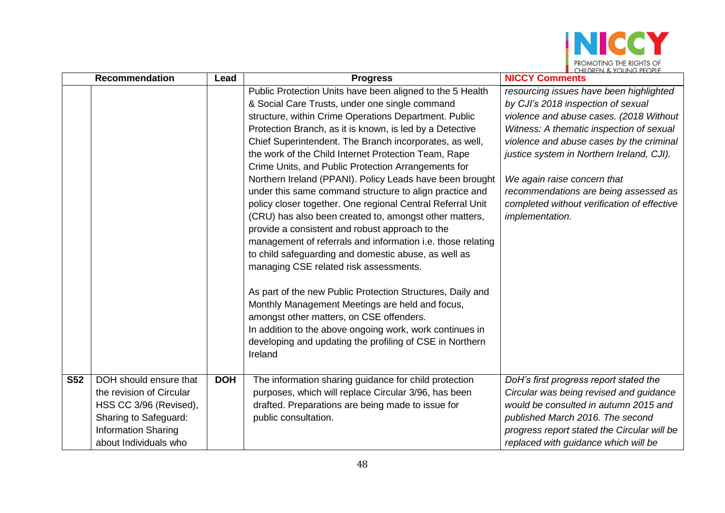

|            | <b>Recommendation</b>                                                                                                                                        | Lead       | <b>Progress</b>                                                                                                                                                                                                                                                                                                                                                                                                                                                                                                                                                                                                                                                                                                                                                                                                                                                                                                                                                                                                                                                                                                                                                               | $\blacksquare$ (FILLEN $\land$ ) (JUNG PEUPLE<br><b>NICCY Comments</b>                                                                                                                                                                                                                                                                                                                                  |
|------------|--------------------------------------------------------------------------------------------------------------------------------------------------------------|------------|-------------------------------------------------------------------------------------------------------------------------------------------------------------------------------------------------------------------------------------------------------------------------------------------------------------------------------------------------------------------------------------------------------------------------------------------------------------------------------------------------------------------------------------------------------------------------------------------------------------------------------------------------------------------------------------------------------------------------------------------------------------------------------------------------------------------------------------------------------------------------------------------------------------------------------------------------------------------------------------------------------------------------------------------------------------------------------------------------------------------------------------------------------------------------------|---------------------------------------------------------------------------------------------------------------------------------------------------------------------------------------------------------------------------------------------------------------------------------------------------------------------------------------------------------------------------------------------------------|
|            |                                                                                                                                                              |            | Public Protection Units have been aligned to the 5 Health<br>& Social Care Trusts, under one single command<br>structure, within Crime Operations Department. Public<br>Protection Branch, as it is known, is led by a Detective<br>Chief Superintendent. The Branch incorporates, as well,<br>the work of the Child Internet Protection Team, Rape<br>Crime Units, and Public Protection Arrangements for<br>Northern Ireland (PPANI). Policy Leads have been brought<br>under this same command structure to align practice and<br>policy closer together. One regional Central Referral Unit<br>(CRU) has also been created to, amongst other matters,<br>provide a consistent and robust approach to the<br>management of referrals and information i.e. those relating<br>to child safeguarding and domestic abuse, as well as<br>managing CSE related risk assessments.<br>As part of the new Public Protection Structures, Daily and<br>Monthly Management Meetings are held and focus,<br>amongst other matters, on CSE offenders.<br>In addition to the above ongoing work, work continues in<br>developing and updating the profiling of CSE in Northern<br>Ireland | resourcing issues have been highlighted<br>by CJI's 2018 inspection of sexual<br>violence and abuse cases. (2018 Without<br>Witness: A thematic inspection of sexual<br>violence and abuse cases by the criminal<br>justice system in Northern Ireland, CJI).<br>We again raise concern that<br>recommendations are being assessed as<br>completed without verification of effective<br>implementation. |
| <b>S52</b> | DOH should ensure that<br>the revision of Circular<br>HSS CC 3/96 (Revised),<br>Sharing to Safeguard:<br><b>Information Sharing</b><br>about Individuals who | <b>DOH</b> | The information sharing guidance for child protection<br>purposes, which will replace Circular 3/96, has been<br>drafted. Preparations are being made to issue for<br>public consultation.                                                                                                                                                                                                                                                                                                                                                                                                                                                                                                                                                                                                                                                                                                                                                                                                                                                                                                                                                                                    | DoH's first progress report stated the<br>Circular was being revised and guidance<br>would be consulted in autumn 2015 and<br>published March 2016. The second<br>progress report stated the Circular will be<br>replaced with guidance which will be                                                                                                                                                   |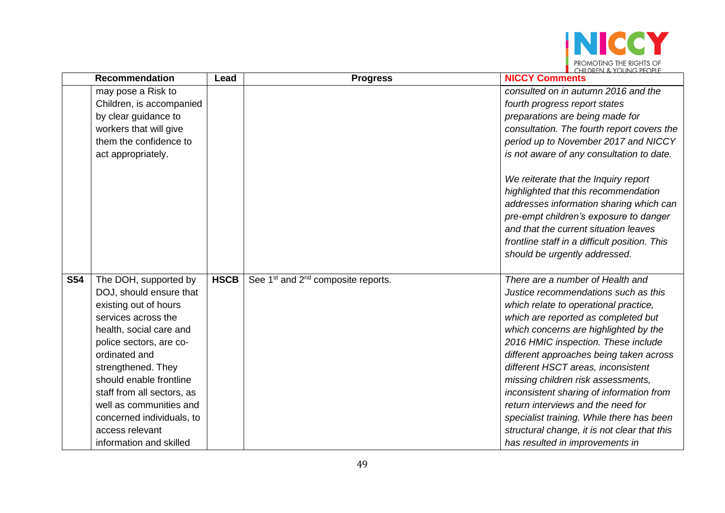

| <b>Recommendation</b> |                            | Lead        | <b>Progress</b>                                            | <b>NICCY Comments</b>                         |
|-----------------------|----------------------------|-------------|------------------------------------------------------------|-----------------------------------------------|
|                       | may pose a Risk to         |             |                                                            | consulted on in autumn 2016 and the           |
|                       | Children, is accompanied   |             |                                                            | fourth progress report states                 |
|                       | by clear guidance to       |             |                                                            | preparations are being made for               |
|                       | workers that will give     |             |                                                            | consultation. The fourth report covers the    |
|                       | them the confidence to     |             |                                                            | period up to November 2017 and NICCY          |
|                       | act appropriately.         |             |                                                            | is not aware of any consultation to date.     |
|                       |                            |             |                                                            | We reiterate that the Inquiry report          |
|                       |                            |             |                                                            | highlighted that this recommendation          |
|                       |                            |             |                                                            | addresses information sharing which can       |
|                       |                            |             |                                                            | pre-empt children's exposure to danger        |
|                       |                            |             |                                                            | and that the current situation leaves         |
|                       |                            |             |                                                            | frontline staff in a difficult position. This |
|                       |                            |             |                                                            | should be urgently addressed.                 |
|                       |                            |             |                                                            |                                               |
| <b>S54</b>            | The DOH, supported by      | <b>HSCB</b> | See 1 <sup>st</sup> and 2 <sup>nd</sup> composite reports. | There are a number of Health and              |
|                       | DOJ, should ensure that    |             |                                                            | Justice recommendations such as this          |
|                       | existing out of hours      |             |                                                            | which relate to operational practice,         |
|                       | services across the        |             |                                                            | which are reported as completed but           |
|                       | health, social care and    |             |                                                            | which concerns are highlighted by the         |
|                       | police sectors, are co-    |             |                                                            | 2016 HMIC inspection. These include           |
|                       | ordinated and              |             |                                                            | different approaches being taken across       |
|                       | strengthened. They         |             |                                                            | different HSCT areas, inconsistent            |
|                       | should enable frontline    |             |                                                            | missing children risk assessments,            |
|                       | staff from all sectors, as |             |                                                            | inconsistent sharing of information from      |
|                       | well as communities and    |             |                                                            | return interviews and the need for            |
|                       | concerned individuals, to  |             |                                                            | specialist training. While there has been     |
|                       | access relevant            |             |                                                            | structural change, it is not clear that this  |
|                       | information and skilled    |             |                                                            | has resulted in improvements in               |